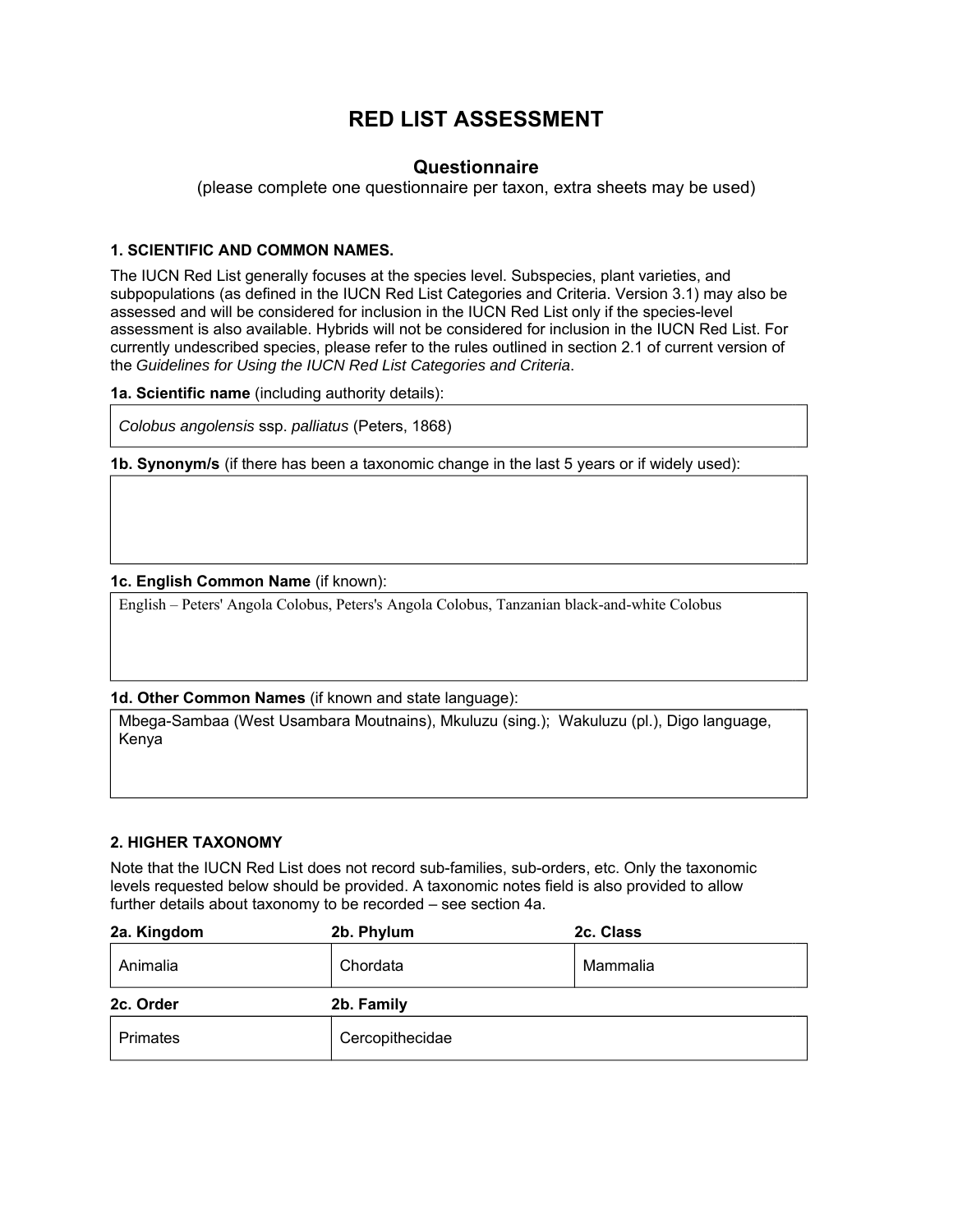# **RED LIST ASSESSMENT**

# **Questionnaire**

(please complete one questionnaire per taxon, extra sheets may be used)

# **1. SCIENTIFIC AND COMMON NAMES.**

The IUCN Red List generally focuses at the species level. Subspecies, plant varieties, and subpopulations (as defined in the IUCN Red List Categories and Criteria. Version 3.1) may also be assessed and will be considered for inclusion in the IUCN Red List only if the species-level assessment is also available. Hybrids will not be considered for inclusion in the IUCN Red List. For currently undescribed species, please refer to the rules outlined in section 2.1 of current version of the *Guidelines for Using the IUCN Red List Categories and Criteria*.

**1a. Scientific name** (including authority details):

*Colobus angolensis* ssp. *palliatus* (Peters, 1868)

**1b. Synonym/s** (if there has been a taxonomic change in the last 5 years or if widely used):

# **1c. English Common Name** (if known):

English – Peters' Angola Colobus, Peters's Angola Colobus, Tanzanian black-and-white Colobus

# **1d. Other Common Names** (if known and state language):

Mbega-Sambaa (West Usambara Moutnains), Mkuluzu (sing.); Wakuluzu (pl.), Digo language, Kenya

# **2. HIGHER TAXONOMY**

Note that the IUCN Red List does not record sub-families, sub-orders, etc. Only the taxonomic levels requested below should be provided. A taxonomic notes field is also provided to allow further details about taxonomy to be recorded – see section 4a.

| 2a. Kingdom | 2b. Phylum | 2c. Class |
|-------------|------------|-----------|
| Animalia    | Chordata   | Mammalia  |
|             |            |           |
| 2c. Order   | 2b. Family |           |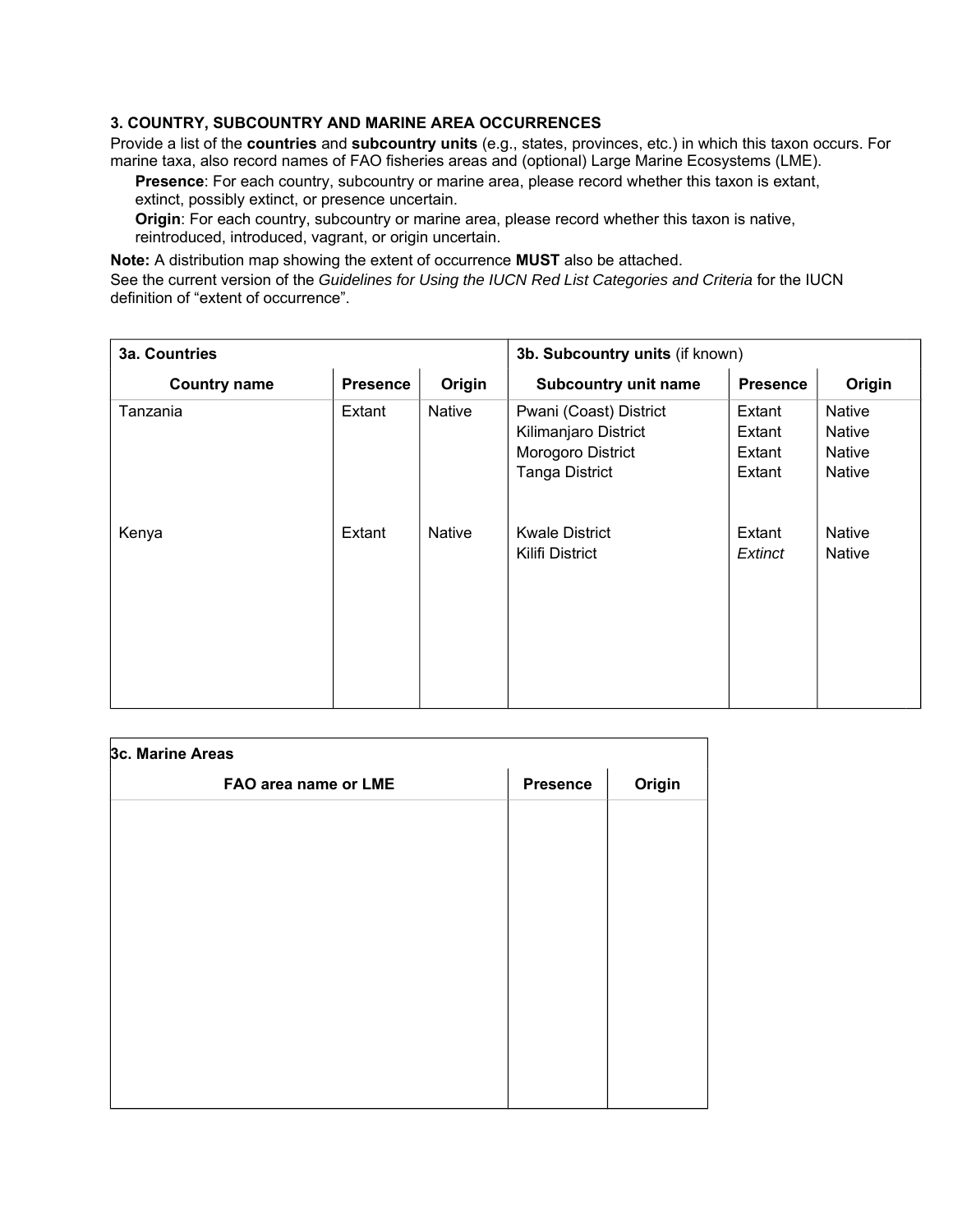# **3. COUNTRY, SUBCOUNTRY AND MARINE AREA OCCURRENCES**

Provide a list of the **countries** and **subcountry units** (e.g., states, provinces, etc.) in which this taxon occurs. For marine taxa, also record names of FAO fisheries areas and (optional) Large Marine Ecosystems (LME).

**Presence**: For each country, subcountry or marine area, please record whether this taxon is extant, extinct, possibly extinct, or presence uncertain.

**Origin**: For each country, subcountry or marine area, please record whether this taxon is native, reintroduced, introduced, vagrant, or origin uncertain.

**Note:** A distribution map showing the extent of occurrence **MUST** also be attached.

See the current version of the *Guidelines for Using the IUCN Red List Categories and Criteria* for the IUCN definition of "extent of occurrence".

| 3a. Countries       |                 |               | 3b. Subcountry units (if known)                                                              |                                      |                                                    |  |
|---------------------|-----------------|---------------|----------------------------------------------------------------------------------------------|--------------------------------------|----------------------------------------------------|--|
| <b>Country name</b> | <b>Presence</b> | Origin        | <b>Subcountry unit name</b>                                                                  | <b>Presence</b>                      | Origin                                             |  |
| Tanzania            | Extant          | Native        | Pwani (Coast) District<br>Kilimanjaro District<br>Morogoro District<br><b>Tanga District</b> | Extant<br>Extant<br>Extant<br>Extant | Native<br><b>Native</b><br><b>Native</b><br>Native |  |
| Kenya               | Extant          | <b>Native</b> | <b>Kwale District</b><br>Kilifi District                                                     | Extant<br>Extinct                    | <b>Native</b><br><b>Native</b>                     |  |

| 3c. Marine Areas     |                 |        |  |  |  |  |  |
|----------------------|-----------------|--------|--|--|--|--|--|
| FAO area name or LME | <b>Presence</b> | Origin |  |  |  |  |  |
|                      |                 |        |  |  |  |  |  |
|                      |                 |        |  |  |  |  |  |
|                      |                 |        |  |  |  |  |  |
|                      |                 |        |  |  |  |  |  |
|                      |                 |        |  |  |  |  |  |
|                      |                 |        |  |  |  |  |  |
|                      |                 |        |  |  |  |  |  |
|                      |                 |        |  |  |  |  |  |
|                      |                 |        |  |  |  |  |  |
|                      |                 |        |  |  |  |  |  |
|                      |                 |        |  |  |  |  |  |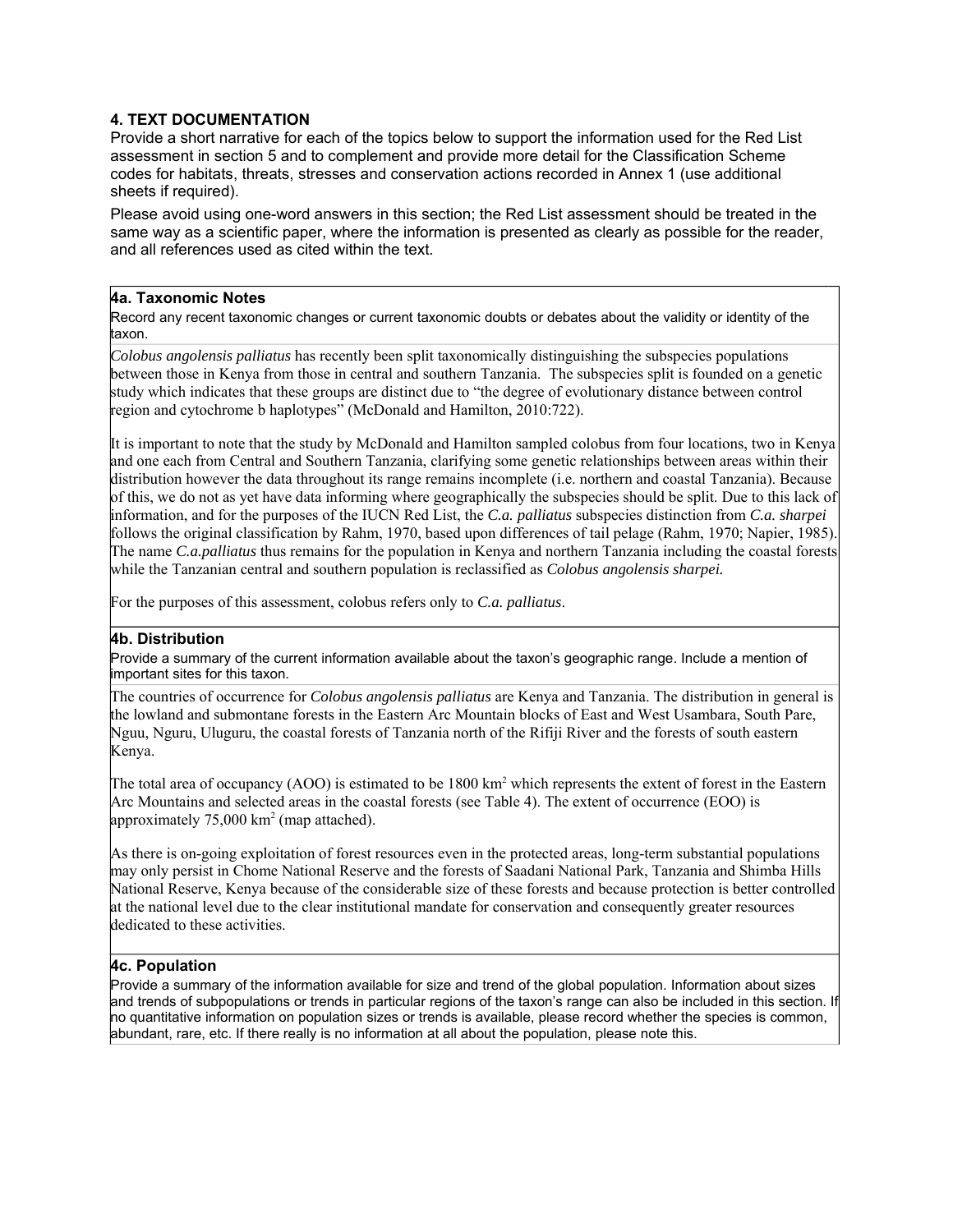# **4. TEXT DOCUMENTATION**

Provide a short narrative for each of the topics below to support the information used for the Red List assessment in section 5 and to complement and provide more detail for the Classification Scheme codes for habitats, threats, stresses and conservation actions recorded in Annex 1 (use additional sheets if required).

Please avoid using one-word answers in this section; the Red List assessment should be treated in the same way as a scientific paper, where the information is presented as clearly as possible for the reader, and all references used as cited within the text.

### **4a. Taxonomic Notes**

Record any recent taxonomic changes or current taxonomic doubts or debates about the validity or identity of the taxon.

*Colobus angolensis palliatus* has recently been split taxonomically distinguishing the subspecies populations between those in Kenya from those in central and southern Tanzania. The subspecies split is founded on a genetic study which indicates that these groups are distinct due to "the degree of evolutionary distance between control region and cytochrome b haplotypes" (McDonald and Hamilton, 2010:722).

It is important to note that the study by McDonald and Hamilton sampled colobus from four locations, two in Kenya and one each from Central and Southern Tanzania, clarifying some genetic relationships between areas within their distribution however the data throughout its range remains incomplete (i.e. northern and coastal Tanzania). Because of this, we do not as yet have data informing where geographically the subspecies should be split. Due to this lack of information, and for the purposes of the IUCN Red List, the *C.a. palliatus* subspecies distinction from *C.a. sharpei* follows the original classification by Rahm, 1970, based upon differences of tail pelage (Rahm, 1970; Napier, 1985). The name *C.a.palliatus* thus remains for the population in Kenya and northern Tanzania including the coastal forests while the Tanzanian central and southern population is reclassified as *Colobus angolensis sharpei.*

For the purposes of this assessment, colobus refers only to *C.a. palliatus*.

# **4b. Distribution**

Provide a summary of the current information available about the taxon's geographic range. Include a mention of important sites for this taxon.

The countries of occurrence for *Colobus angolensis palliatus* are Kenya and Tanzania. The distribution in general is the lowland and submontane forests in the Eastern Arc Mountain blocks of East and West Usambara, South Pare, Nguu, Nguru, Uluguru, the coastal forests of Tanzania north of the Rifiji River and the forests of south eastern Kenya.

The total area of occupancy (AOO) is estimated to be  $1800 \text{ km}^2$  which represents the extent of forest in the Eastern Arc Mountains and selected areas in the coastal forests (see Table 4). The extent of occurrence (EOO) is approximately  $75,000 \text{ km}^2 \text{ (map attached)}$ .

As there is on-going exploitation of forest resources even in the protected areas, long-term substantial populations may only persist in Chome National Reserve and the forests of Saadani National Park, Tanzania and Shimba Hills National Reserve, Kenya because of the considerable size of these forests and because protection is better controlled at the national level due to the clear institutional mandate for conservation and consequently greater resources dedicated to these activities.

# **4c. Population**

Provide a summary of the information available for size and trend of the global population. Information about sizes and trends of subpopulations or trends in particular regions of the taxon's range can also be included in this section. If no quantitative information on population sizes or trends is available, please record whether the species is common, abundant, rare, etc. If there really is no information at all about the population, please note this.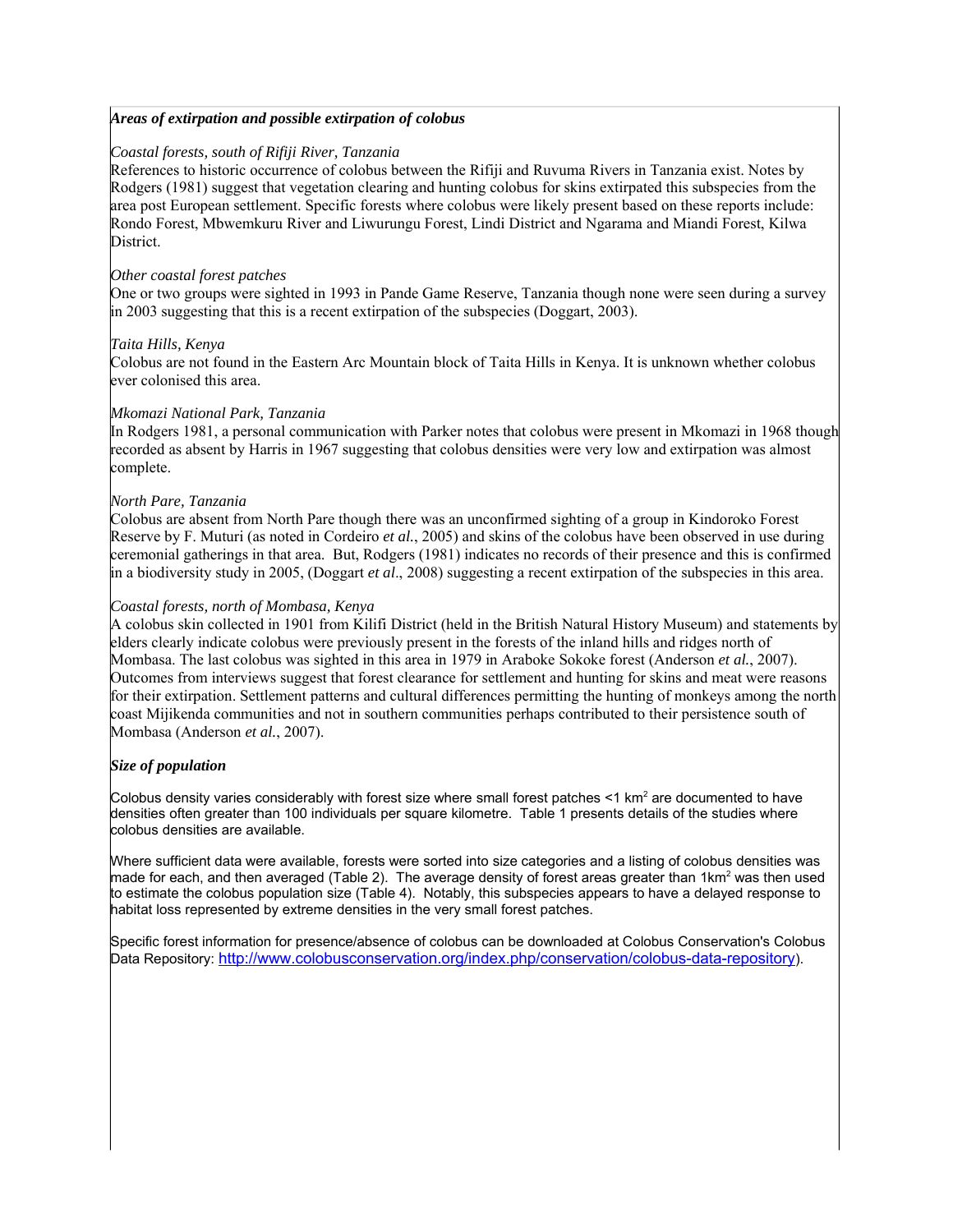#### *Areas of extirpation and possible extirpation of colobus*

#### *Coastal forests, south of Rifiji River, Tanzania*

References to historic occurrence of colobus between the Rifiji and Ruvuma Rivers in Tanzania exist. Notes by Rodgers (1981) suggest that vegetation clearing and hunting colobus for skins extirpated this subspecies from the area post European settlement. Specific forests where colobus were likely present based on these reports include: Rondo Forest, Mbwemkuru River and Liwurungu Forest, Lindi District and Ngarama and Miandi Forest, Kilwa District.

#### *Other coastal forest patches*

One or two groups were sighted in 1993 in Pande Game Reserve, Tanzania though none were seen during a survey in 2003 suggesting that this is a recent extirpation of the subspecies (Doggart, 2003).

#### *Taita Hills, Kenya*

Colobus are not found in the Eastern Arc Mountain block of Taita Hills in Kenya. It is unknown whether colobus ever colonised this area.

#### *Mkomazi National Park, Tanzania*

In Rodgers 1981, a personal communication with Parker notes that colobus were present in Mkomazi in 1968 though recorded as absent by Harris in 1967 suggesting that colobus densities were very low and extirpation was almost complete.

#### *North Pare, Tanzania*

Colobus are absent from North Pare though there was an unconfirmed sighting of a group in Kindoroko Forest Reserve by F. Muturi (as noted in Cordeiro *et al.*, 2005) and skins of the colobus have been observed in use during ceremonial gatherings in that area. But, Rodgers (1981) indicates no records of their presence and this is confirmed in a biodiversity study in 2005, (Doggart *et al*., 2008) suggesting a recent extirpation of the subspecies in this area.

#### *Coastal forests, north of Mombasa, Kenya*

A colobus skin collected in 1901 from Kilifi District (held in the British Natural History Museum) and statements by elders clearly indicate colobus were previously present in the forests of the inland hills and ridges north of Mombasa. The last colobus was sighted in this area in 1979 in Araboke Sokoke forest (Anderson *et al.*, 2007). Outcomes from interviews suggest that forest clearance for settlement and hunting for skins and meat were reasons for their extirpation. Settlement patterns and cultural differences permitting the hunting of monkeys among the north coast Mijikenda communities and not in southern communities perhaps contributed to their persistence south of Mombasa (Anderson *et al.*, 2007).

#### *Size of population*

Colobus density varies considerably with forest size where small forest patches <1 km<sup>2</sup> are documented to have densities often greater than 100 individuals per square kilometre. Table 1 presents details of the studies where colobus densities are available.

Where sufficient data were available, forests were sorted into size categories and a listing of colobus densities was made for each, and then averaged (Table 2). The average density of forest areas greater than 1km<sup>2</sup> was then used to estimate the colobus population size (Table 4). Notably, this subspecies appears to have a delayed response to habitat loss represented by extreme densities in the very small forest patches.

Specific forest information for presence/absence of colobus can be downloaded at Colobus Conservation's Colobus Data Repository: http://www.colobusconservation.org/index.php/conservation/colobus-data-repository).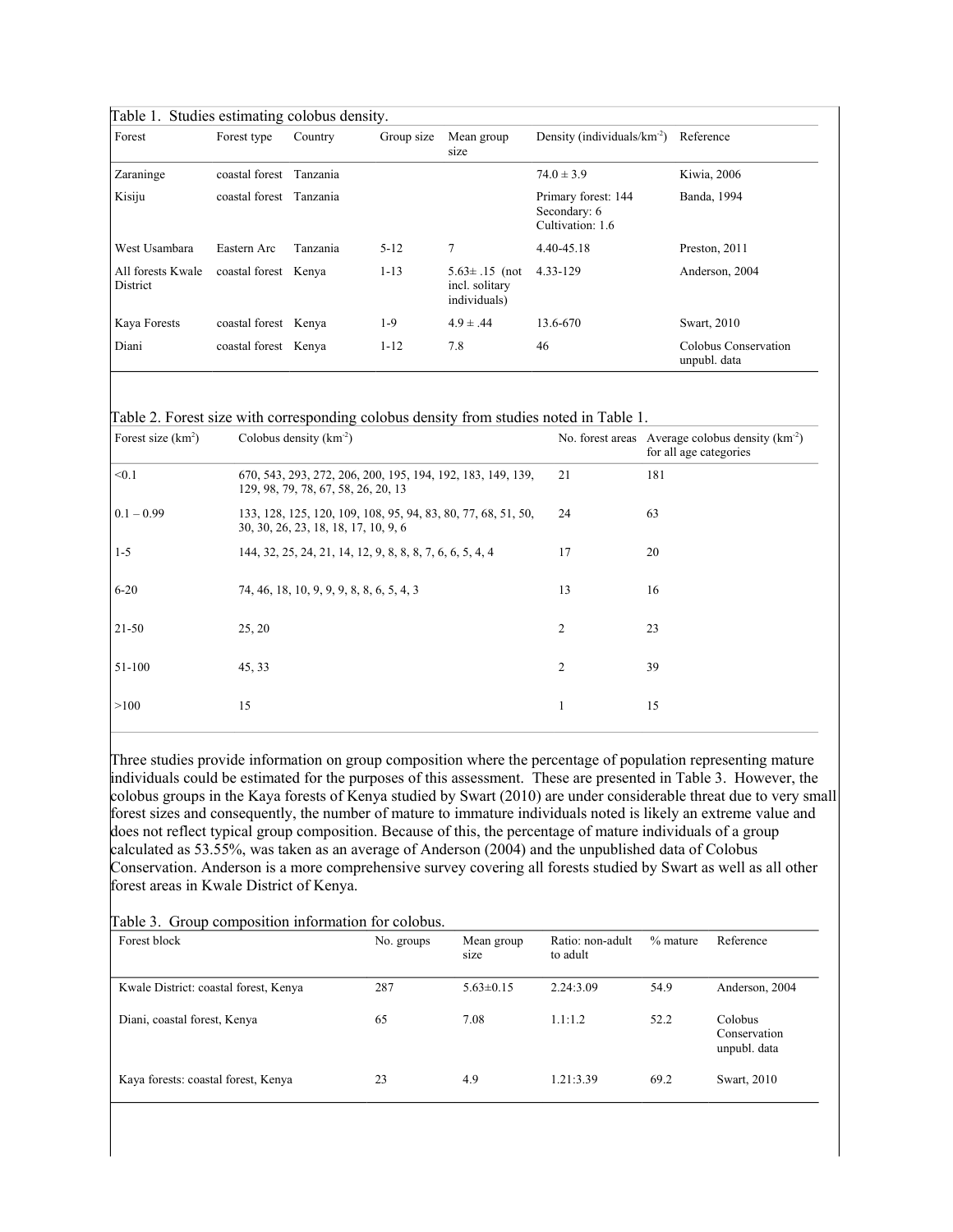| Forest                        | Forest type          | Country  | Group size | Mean group<br>size                                    | Density (individuals/ $km-2$ )                          | Reference                            |
|-------------------------------|----------------------|----------|------------|-------------------------------------------------------|---------------------------------------------------------|--------------------------------------|
| Zaraninge                     | coastal forest       | Tanzania |            |                                                       | $74.0 \pm 3.9$                                          | Kiwia, 2006                          |
| Kisiju                        | coastal forest       | Tanzania |            |                                                       | Primary forest: 144<br>Secondary: 6<br>Cultivation: 1.6 | Banda, 1994                          |
| West Usambara                 | Eastern Arc          | Tanzania | $5 - 12$   | 7                                                     | 4.40-45.18                                              | Preston, 2011                        |
| All forests Kwale<br>District | coastal forest Kenya |          | $1 - 13$   | $5.63 \pm .15$ (not<br>incl. solitary<br>individuals) | 4.33-129                                                | Anderson, 2004                       |
| Kaya Forests                  | coastal forest Kenya |          | 1-9        | $4.9 \pm .44$                                         | 13.6-670                                                | Swart, 2010                          |
| Diani                         | coastal forest Kenya |          | $1 - 12$   | 7.8                                                   | 46                                                      | Colobus Conservation<br>unpubl. data |

Table 2. Forest size with corresponding colobus density from studies noted in Table 1.

| Forest size $(km^2)$ | Colobus density $(km-2)$                                                                              |                | No. forest areas Average colobus density $(km^{-2})$<br>for all age categories |
|----------------------|-------------------------------------------------------------------------------------------------------|----------------|--------------------------------------------------------------------------------|
| < 0.1                | 670, 543, 293, 272, 206, 200, 195, 194, 192, 183, 149, 139,<br>129, 98, 79, 78, 67, 58, 26, 20, 13    | 21             | 181                                                                            |
| $0.1 - 0.99$         | 133, 128, 125, 120, 109, 108, 95, 94, 83, 80, 77, 68, 51, 50,<br>30, 30, 26, 23, 18, 18, 17, 10, 9, 6 | 24             | 63                                                                             |
| $1 - 5$              | 144, 32, 25, 24, 21, 14, 12, 9, 8, 8, 8, 7, 6, 6, 5, 4, 4                                             | 17             | 20                                                                             |
| $6 - 20$             | 74, 46, 18, 10, 9, 9, 9, 8, 8, 6, 5, 4, 3                                                             | 13             | 16                                                                             |
| 21-50                | 25, 20                                                                                                | 2              | 23                                                                             |
| 51-100               | 45, 33                                                                                                | $\overline{c}$ | 39                                                                             |
| >100                 | 15                                                                                                    |                | 15                                                                             |

Three studies provide information on group composition where the percentage of population representing mature individuals could be estimated for the purposes of this assessment. These are presented in Table 3. However, the colobus groups in the Kaya forests of Kenya studied by Swart (2010) are under considerable threat due to very small forest sizes and consequently, the number of mature to immature individuals noted is likely an extreme value and does not reflect typical group composition. Because of this, the percentage of mature individuals of a group calculated as 53.55%, was taken as an average of Anderson (2004) and the unpublished data of Colobus Conservation. Anderson is a more comprehensive survey covering all forests studied by Swart as well as all other forest areas in Kwale District of Kenya.

|  |  |  |  | Table 3. Group composition information for colobus. |
|--|--|--|--|-----------------------------------------------------|
|--|--|--|--|-----------------------------------------------------|

| Forest block                          | No. groups | Mean group<br>size | Ratio: non-adult<br>to adult | $%$ mature | Reference                                      |
|---------------------------------------|------------|--------------------|------------------------------|------------|------------------------------------------------|
| Kwale District: coastal forest, Kenya | 287        | $5.63 \pm 0.15$    | 2.24:3.09                    | 54.9       | Anderson, 2004                                 |
| Diani, coastal forest, Kenya          | 65         | 7.08               | 1.1:1.2                      | 52.2       | <b>Colobus</b><br>Conservation<br>unpubl. data |
| Kaya forests: coastal forest, Kenya   | 23         | 4.9                | 1.21:3.39                    | 69.2       | Swart, 2010                                    |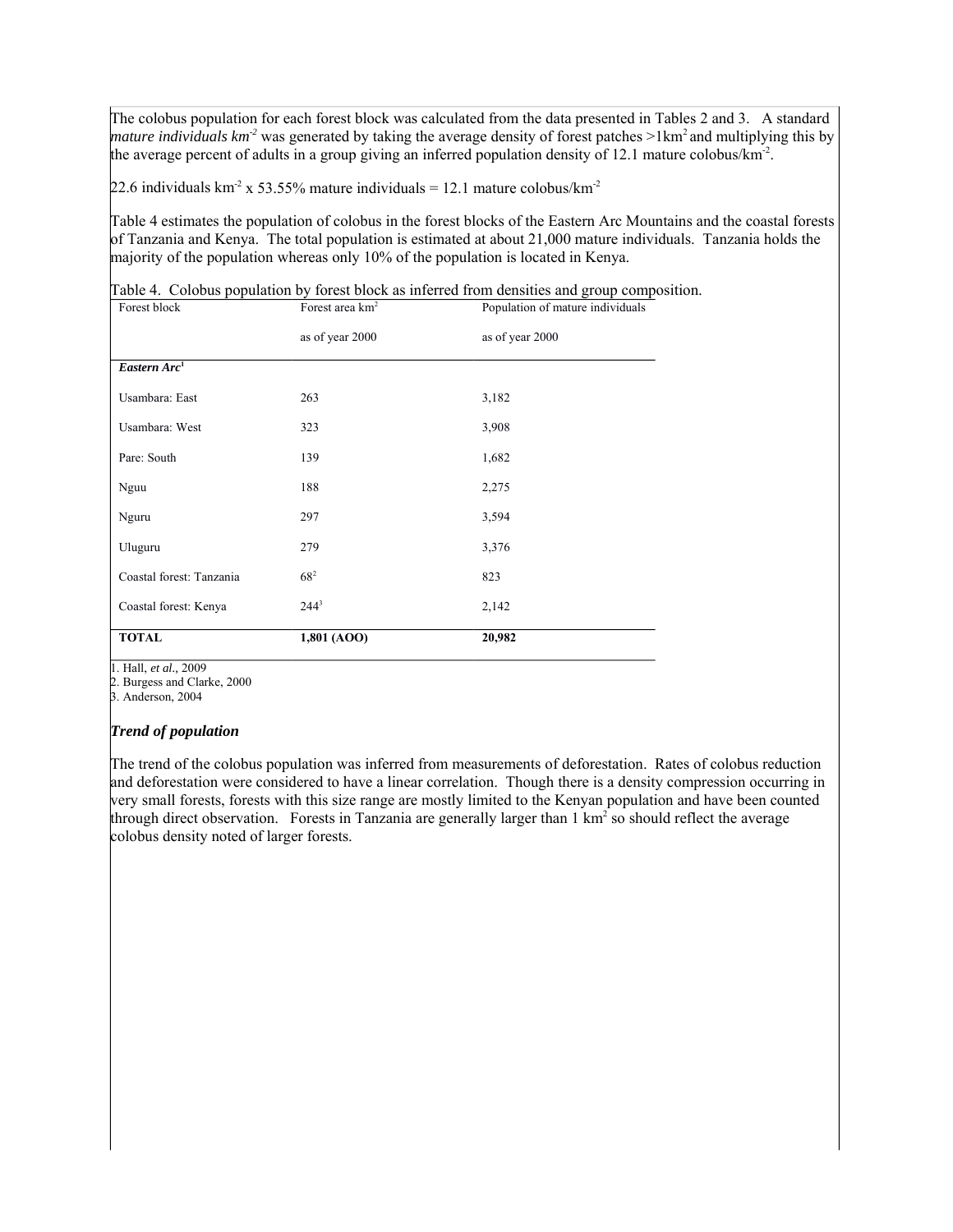The colobus population for each forest block was calculated from the data presented in Tables 2 and 3. A standard *mature individuals km<sup>-2</sup>* was generated by taking the average density of forest patches  $>1$ km<sup>2</sup> and multiplying this by the average percent of adults in a group giving an inferred population density of 12.1 mature colobus/ $km<sup>2</sup>$ .

22.6 individuals km<sup>-2</sup> x 53.55% mature individuals = 12.1 mature colobus/km<sup>-2</sup>

Table 4 estimates the population of colobus in the forest blocks of the Eastern Arc Mountains and the coastal forests of Tanzania and Kenya. The total population is estimated at about 21,000 mature individuals. Tanzania holds the majority of the population whereas only 10% of the population is located in Kenya.

Table 4. Colobus population by forest block as inferred from densities and group composition.

| Coastal forest: Tanzania | $68^{2}$                    | 823                              |
|--------------------------|-----------------------------|----------------------------------|
| Uluguru                  | 279                         | 3,376                            |
| Nguru                    | 297                         | 3,594                            |
| Nguu                     | 188                         | 2,275                            |
| Pare: South              | 139                         | 1,682                            |
| Usambara: West           | 323                         | 3,908                            |
| Usambara: East           | 263                         | 3,182                            |
| Eastern $Arc1$           |                             |                                  |
|                          | as of year 2000             | as of year 2000                  |
| Forest block             | Forest area km <sup>2</sup> | Population of mature individuals |

1. Hall, *et al.,* 2009

2. Burgess and Clarke, 2000

3. Anderson, 2004

#### *Trend of population*

The trend of the colobus population was inferred from measurements of deforestation. Rates of colobus reduction and deforestation were considered to have a linear correlation. Though there is a density compression occurring in very small forests, forests with this size range are mostly limited to the Kenyan population and have been counted through direct observation. Forests in Tanzania are generally larger than  $1 \text{ km}^2$  so should reflect the average colobus density noted of larger forests.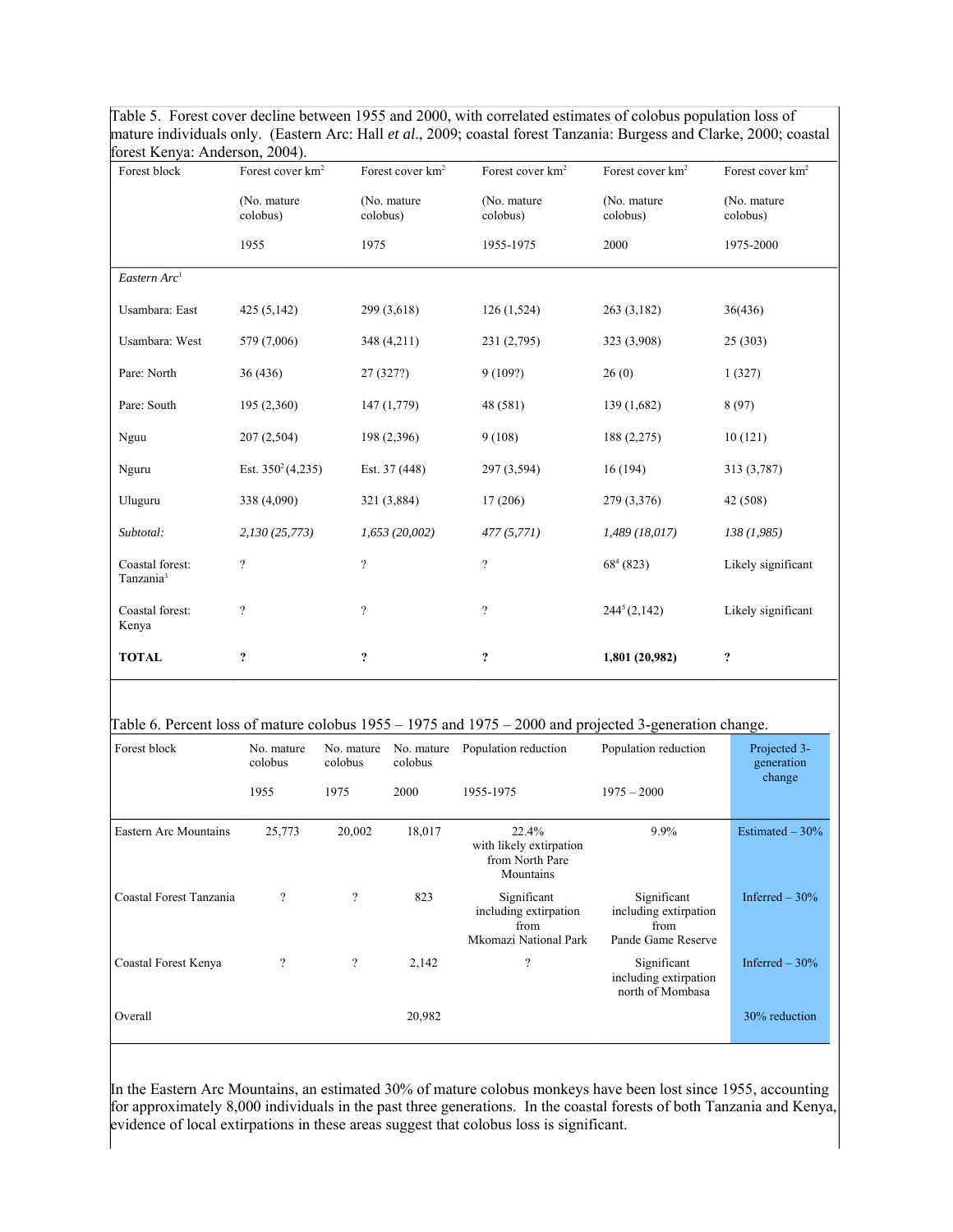| Table 5. Forest cover decline between 1955 and 2000, with correlated estimates of colobus population loss of         |
|----------------------------------------------------------------------------------------------------------------------|
| mature individuals only. (Eastern Arc: Hall et al., 2009; coastal forest Tanzania: Burgess and Clarke, 2000; coastal |
| forest Kenya: Anderson, 2004).                                                                                       |

| Forest block                             | Forest cover km <sup>2</sup> | Forest cover km <sup>2</sup> | Forest cover km <sup>2</sup> | Forest cover km <sup>2</sup> | Forest cover km <sup>2</sup> |
|------------------------------------------|------------------------------|------------------------------|------------------------------|------------------------------|------------------------------|
|                                          | (No. mature<br>colobus)      | (No. mature<br>colobus)      | (No. mature<br>colobus)      | (No. mature<br>colobus)      | (No. mature<br>colobus)      |
|                                          | 1955                         | 1975                         | 1955-1975                    | 2000                         | 1975-2000                    |
| Eastern Arc <sup>1</sup>                 |                              |                              |                              |                              |                              |
| Usambara: East                           | 425 (5,142)                  | 299 (3,618)                  | 126(1,524)                   | 263 (3,182)                  | 36(436)                      |
| Usambara: West                           | 579 (7,006)                  | 348 (4,211)                  | 231 (2,795)                  | 323 (3,908)                  | 25(303)                      |
| Pare: North                              | 36(436)                      | 27 (327?)                    | 9(109?)                      | 26(0)                        | 1(327)                       |
| Pare: South                              | 195 (2,360)                  | 147 (1,779)                  | 48 (581)                     | 139 (1,682)                  | 8(97)                        |
| Nguu                                     | 207 (2,504)                  | 198 (2,396)                  | 9(108)                       | 188 (2,275)                  | 10(121)                      |
| Nguru                                    | Est. $350^2(4,235)$          | Est. 37 (448)                | 297 (3,594)                  | 16(194)                      | 313 (3,787)                  |
| Uluguru                                  | 338 (4,090)                  | 321 (3,884)                  | 17(206)                      | 279 (3,376)                  | 42 (508)                     |
| Subtotal:                                | 2,130 (25,773)               | 1,653(20,002)                | 477(5,771)                   | 1,489(18,017)                | 138(1,985)                   |
| Coastal forest:<br>Tanzania <sup>3</sup> | $\boldsymbol{\mathcal{P}}$   | $\overline{?}$               | $\boldsymbol{?}$             | 68 <sup>4</sup> (823)        | Likely significant           |
| Coastal forest:<br>Kenya                 | $\gamma$                     | $\gamma$                     | $\gamma$                     | 244 <sup>5</sup> (2, 142)    | Likely significant           |
| <b>TOTAL</b>                             | ?                            | ?                            | $\ddot{\cdot}$               | 1,801 (20,982)               | $\pmb{?}$                    |

# Table 6. Percent loss of mature colobus 1955 – 1975 and 1975 – 2000 and projected 3-generation change.

| Forest block            | No. mature<br>colobus | No. mature<br>colobus    | No. mature<br>colobus | Population reduction                                                  | Population reduction                                               | Projected 3-<br>generation<br>change |
|-------------------------|-----------------------|--------------------------|-----------------------|-----------------------------------------------------------------------|--------------------------------------------------------------------|--------------------------------------|
|                         | 1955                  | 1975                     | 2000                  | 1955-1975                                                             | $1975 - 2000$                                                      |                                      |
| Eastern Arc Mountains   | 25,773                | 20,002                   | 18,017                | 22.4%<br>with likely extirpation<br>from North Pare<br>Mountains      | 9.9%                                                               | Estimated $-30%$                     |
| Coastal Forest Tanzania | $\gamma$              | $\gamma$                 | 823                   | Significant<br>including extirpation<br>from<br>Mkomazi National Park | Significant<br>including extirpation<br>from<br>Pande Game Reserve | Inferred $-30\%$                     |
| Coastal Forest Kenya    | ?                     | $\overline{\mathcal{C}}$ | 2,142                 | ?                                                                     | Significant<br>including extirpation<br>north of Mombasa           | Inferred $-30%$                      |
| Overall                 |                       |                          | 20,982                |                                                                       |                                                                    | 30% reduction                        |

In the Eastern Arc Mountains, an estimated 30% of mature colobus monkeys have been lost since 1955, accounting for approximately 8,000 individuals in the past three generations. In the coastal forests of both Tanzania and Kenya, evidence of local extirpations in these areas suggest that colobus loss is significant.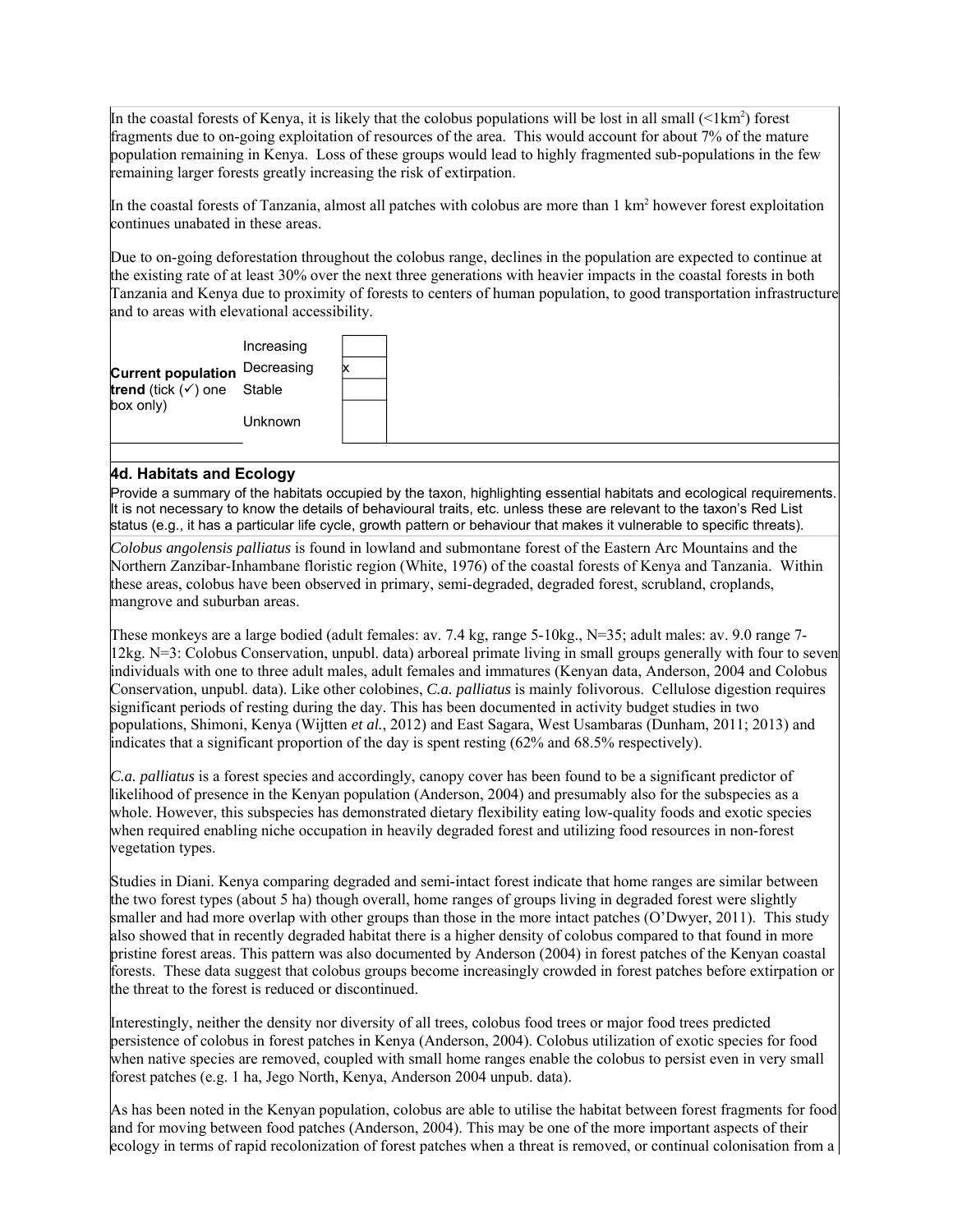In the coastal forests of Kenya, it is likely that the colobus populations will be lost in all small  $(1km^2)$  forest fragments due to on-going exploitation of resources of the area. This would account for about 7% of the mature population remaining in Kenya. Loss of these groups would lead to highly fragmented sub-populations in the few remaining larger forests greatly increasing the risk of extirpation.

In the coastal forests of Tanzania, almost all patches with colobus are more than  $1 \text{ km}^2$  however forest exploitation continues unabated in these areas.

Due to on-going deforestation throughout the colobus range, declines in the population are expected to continue at the existing rate of at least 30% over the next three generations with heavier impacts in the coastal forests in both Tanzania and Kenya due to proximity of forests to centers of human population, to good transportation infrastructure and to areas with elevational accessibility.



### **4d. Habitats and Ecology**

Provide a summary of the habitats occupied by the taxon, highlighting essential habitats and ecological requirements. It is not necessary to know the details of behavioural traits, etc. unless these are relevant to the taxon's Red List status (e.g., it has a particular life cycle, growth pattern or behaviour that makes it vulnerable to specific threats).

*Colobus angolensis palliatus* is found in lowland and submontane forest of the Eastern Arc Mountains and the Northern Zanzibar-Inhambane floristic region (White, 1976) of the coastal forests of Kenya and Tanzania. Within these areas, colobus have been observed in primary, semi-degraded, degraded forest, scrubland, croplands, mangrove and suburban areas.

These monkeys are a large bodied (adult females: av. 7.4 kg, range 5-10kg., N=35; adult males: av. 9.0 range 7- 12kg. N=3: Colobus Conservation, unpubl. data) arboreal primate living in small groups generally with four to seven individuals with one to three adult males, adult females and immatures (Kenyan data, Anderson, 2004 and Colobus Conservation, unpubl. data). Like other colobines, *C.a. palliatus* is mainly folivorous. Cellulose digestion requires significant periods of resting during the day. This has been documented in activity budget studies in two populations, Shimoni, Kenya (Wijtten *et al.*, 2012) and East Sagara, West Usambaras (Dunham, 2011; 2013) and indicates that a significant proportion of the day is spent resting (62% and 68.5% respectively).

*C.a. palliatus* is a forest species and accordingly, canopy cover has been found to be a significant predictor of likelihood of presence in the Kenyan population (Anderson, 2004) and presumably also for the subspecies as a whole. However, this subspecies has demonstrated dietary flexibility eating low-quality foods and exotic species when required enabling niche occupation in heavily degraded forest and utilizing food resources in non-forest vegetation types.

Studies in Diani. Kenya comparing degraded and semi-intact forest indicate that home ranges are similar between the two forest types (about 5 ha) though overall, home ranges of groups living in degraded forest were slightly smaller and had more overlap with other groups than those in the more intact patches (O'Dwyer, 2011). This study also showed that in recently degraded habitat there is a higher density of colobus compared to that found in more pristine forest areas. This pattern was also documented by Anderson (2004) in forest patches of the Kenyan coastal forests. These data suggest that colobus groups become increasingly crowded in forest patches before extirpation or the threat to the forest is reduced or discontinued.

Interestingly, neither the density nor diversity of all trees, colobus food trees or major food trees predicted persistence of colobus in forest patches in Kenya (Anderson, 2004). Colobus utilization of exotic species for food when native species are removed, coupled with small home ranges enable the colobus to persist even in very small forest patches (e.g. 1 ha, Jego North, Kenya, Anderson 2004 unpub. data).

As has been noted in the Kenyan population, colobus are able to utilise the habitat between forest fragments for food and for moving between food patches (Anderson, 2004). This may be one of the more important aspects of their ecology in terms of rapid recolonization of forest patches when a threat is removed, or continual colonisation from a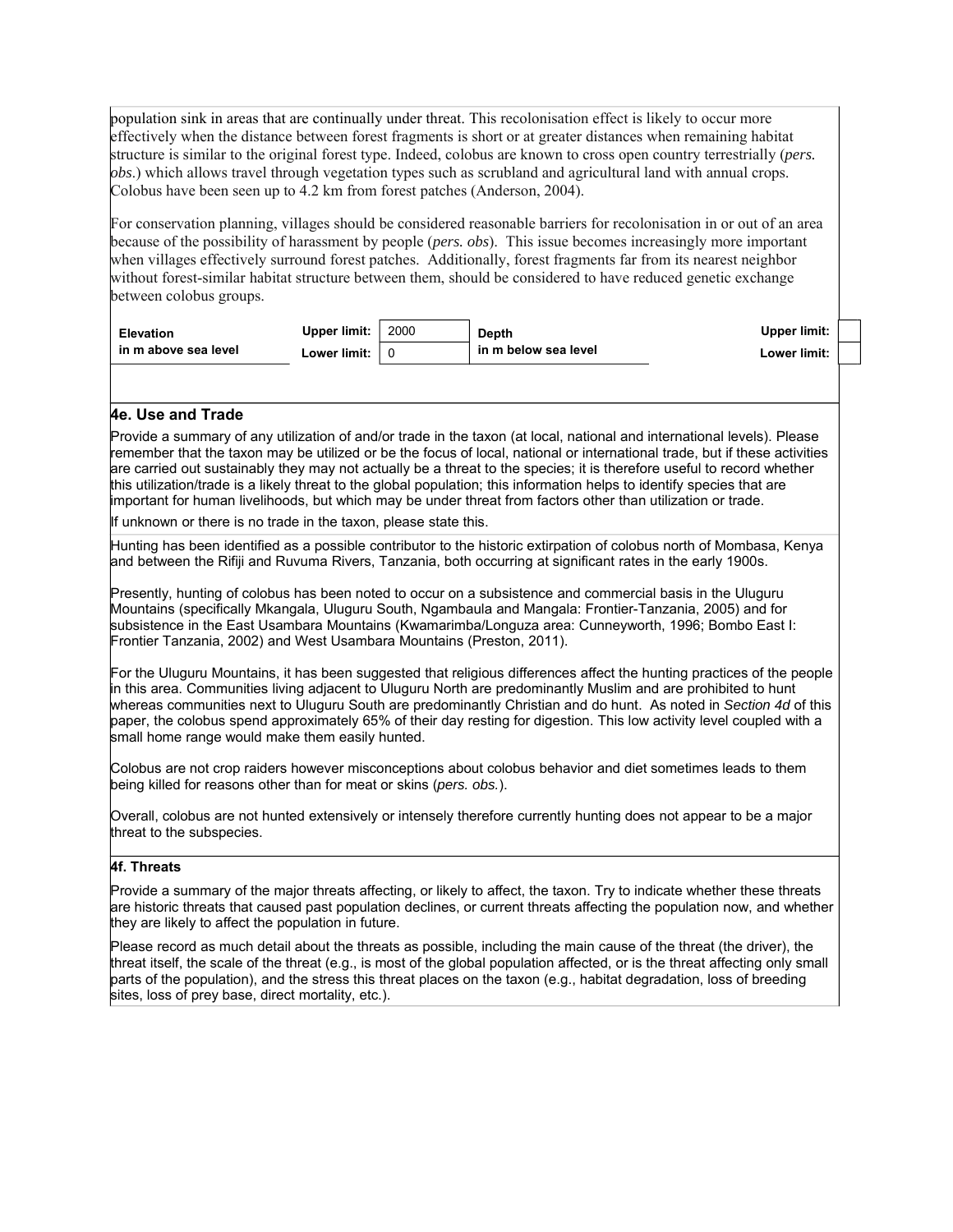population sink in areas that are continually under threat. This recolonisation effect is likely to occur more effectively when the distance between forest fragments is short or at greater distances when remaining habitat structure is similar to the original forest type. Indeed, colobus are known to cross open country terrestrially (*pers. obs*.) which allows travel through vegetation types such as scrubland and agricultural land with annual crops. Colobus have been seen up to 4.2 km from forest patches (Anderson, 2004).

For conservation planning, villages should be considered reasonable barriers for recolonisation in or out of an area because of the possibility of harassment by people (*pers. obs*). This issue becomes increasingly more important when villages effectively surround forest patches. Additionally, forest fragments far from its nearest neighbor without forest-similar habitat structure between them, should be considered to have reduced genetic exchange between colobus groups.

| <b>Elevation</b>     | Upper limit: | 2000 | <b>Depth</b>         | <b>Upper limit:</b> |  |
|----------------------|--------------|------|----------------------|---------------------|--|
| in m above sea level | Lower limit: |      | in m below sea level | Lower limit:        |  |

#### **4e. Use and Trade**

Provide a summary of any utilization of and/or trade in the taxon (at local, national and international levels). Please remember that the taxon may be utilized or be the focus of local, national or international trade, but if these activities are carried out sustainably they may not actually be a threat to the species; it is therefore useful to record whether this utilization/trade is a likely threat to the global population; this information helps to identify species that are important for human livelihoods, but which may be under threat from factors other than utilization or trade.

If unknown or there is no trade in the taxon, please state this.

Hunting has been identified as a possible contributor to the historic extirpation of colobus north of Mombasa, Kenya and between the Rifiji and Ruvuma Rivers, Tanzania, both occurring at significant rates in the early 1900s.

Presently, hunting of colobus has been noted to occur on a subsistence and commercial basis in the Uluguru Mountains (specifically Mkangala, Uluguru South, Ngambaula and Mangala: Frontier-Tanzania, 2005) and for subsistence in the East Usambara Mountains (Kwamarimba/Longuza area: Cunneyworth, 1996; Bombo East I: Frontier Tanzania, 2002) and West Usambara Mountains (Preston, 2011).

For the Uluguru Mountains, it has been suggested that religious differences affect the hunting practices of the people in this area. Communities living adjacent to Uluguru North are predominantly Muslim and are prohibited to hunt whereas communities next to Uluguru South are predominantly Christian and do hunt. As noted in *Section 4d* of this paper, the colobus spend approximately 65% of their day resting for digestion. This low activity level coupled with a small home range would make them easily hunted.

Colobus are not crop raiders however misconceptions about colobus behavior and diet sometimes leads to them being killed for reasons other than for meat or skins (*pers. obs.*).

Overall, colobus are not hunted extensively or intensely therefore currently hunting does not appear to be a major threat to the subspecies.

#### **4f. Threats**

Provide a summary of the major threats affecting, or likely to affect, the taxon. Try to indicate whether these threats are historic threats that caused past population declines, or current threats affecting the population now, and whether they are likely to affect the population in future.

Please record as much detail about the threats as possible, including the main cause of the threat (the driver), the threat itself, the scale of the threat (e.g., is most of the global population affected, or is the threat affecting only small parts of the population), and the stress this threat places on the taxon (e.g., habitat degradation, loss of breeding sites, loss of prey base, direct mortality, etc.).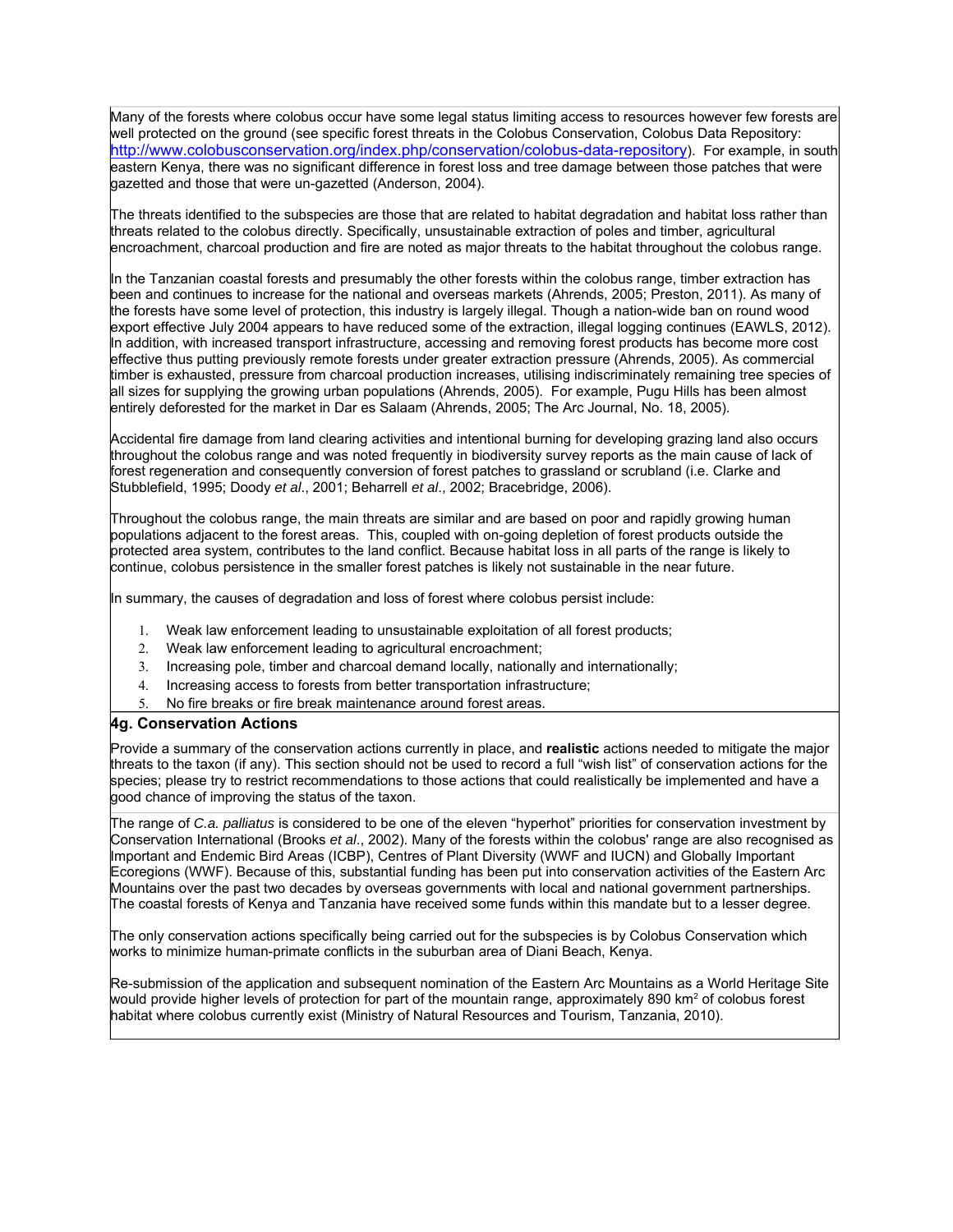Many of the forests where colobus occur have some legal status limiting access to resources however few forests are well protected on the ground (see specific forest threats in the Colobus Conservation, Colobus Data Repository: http://www.colobusconservation.org/index.php/conservation/colobus-data-repository). For example, in south eastern Kenya, there was no significant difference in forest loss and tree damage between those patches that were gazetted and those that were un-gazetted (Anderson, 2004).

The threats identified to the subspecies are those that are related to habitat degradation and habitat loss rather than threats related to the colobus directly. Specifically, unsustainable extraction of poles and timber, agricultural encroachment, charcoal production and fire are noted as major threats to the habitat throughout the colobus range.

In the Tanzanian coastal forests and presumably the other forests within the colobus range, timber extraction has been and continues to increase for the national and overseas markets (Ahrends, 2005; Preston, 2011). As many of the forests have some level of protection, this industry is largely illegal. Though a nation-wide ban on round wood export effective July 2004 appears to have reduced some of the extraction, illegal logging continues (EAWLS, 2012). In addition, with increased transport infrastructure, accessing and removing forest products has become more cost effective thus putting previously remote forests under greater extraction pressure (Ahrends, 2005). As commercial timber is exhausted, pressure from charcoal production increases, utilising indiscriminately remaining tree species of all sizes for supplying the growing urban populations (Ahrends, 2005). For example, Pugu Hills has been almost entirely deforested for the market in Dar es Salaam (Ahrends, 2005; The Arc Journal, No. 18, 2005).

Accidental fire damage from land clearing activities and intentional burning for developing grazing land also occurs throughout the colobus range and was noted frequently in biodiversity survey reports as the main cause of lack of forest regeneration and consequently conversion of forest patches to grassland or scrubland (i.e. Clarke and Stubblefield, 1995; Doody *et al*., 2001; Beharrell *et al*., 2002; Bracebridge, 2006).

Throughout the colobus range, the main threats are similar and are based on poor and rapidly growing human populations adjacent to the forest areas. This, coupled with on-going depletion of forest products outside the protected area system, contributes to the land conflict. Because habitat loss in all parts of the range is likely to continue, colobus persistence in the smaller forest patches is likely not sustainable in the near future.

In summary, the causes of degradation and loss of forest where colobus persist include:

- 1. Weak law enforcement leading to unsustainable exploitation of all forest products;
- 2. Weak law enforcement leading to agricultural encroachment;
- 3. Increasing pole, timber and charcoal demand locally, nationally and internationally;
- 4. Increasing access to forests from better transportation infrastructure;
- 5. No fire breaks or fire break maintenance around forest areas.

#### **4g. Conservation Actions**

Provide a summary of the conservation actions currently in place, and **realistic** actions needed to mitigate the major threats to the taxon (if any). This section should not be used to record a full "wish list" of conservation actions for the species; please try to restrict recommendations to those actions that could realistically be implemented and have a good chance of improving the status of the taxon.

The range of *C.a. palliatus* is considered to be one of the eleven "hyperhot" priorities for conservation investment by Conservation International (Brooks *et al*., 2002). Many of the forests within the colobus' range are also recognised as Important and Endemic Bird Areas (ICBP), Centres of Plant Diversity (WWF and IUCN) and Globally Important Ecoregions (WWF). Because of this, substantial funding has been put into conservation activities of the Eastern Arc Mountains over the past two decades by overseas governments with local and national government partnerships. The coastal forests of Kenya and Tanzania have received some funds within this mandate but to a lesser degree.

The only conservation actions specifically being carried out for the subspecies is by Colobus Conservation which works to minimize human-primate conflicts in the suburban area of Diani Beach, Kenya.

Re-submission of the application and subsequent nomination of the Eastern Arc Mountains as a World Heritage Site would provide higher levels of protection for part of the mountain range, approximately 890 km<sup>2</sup> of colobus forest habitat where colobus currently exist (Ministry of Natural Resources and Tourism, Tanzania, 2010).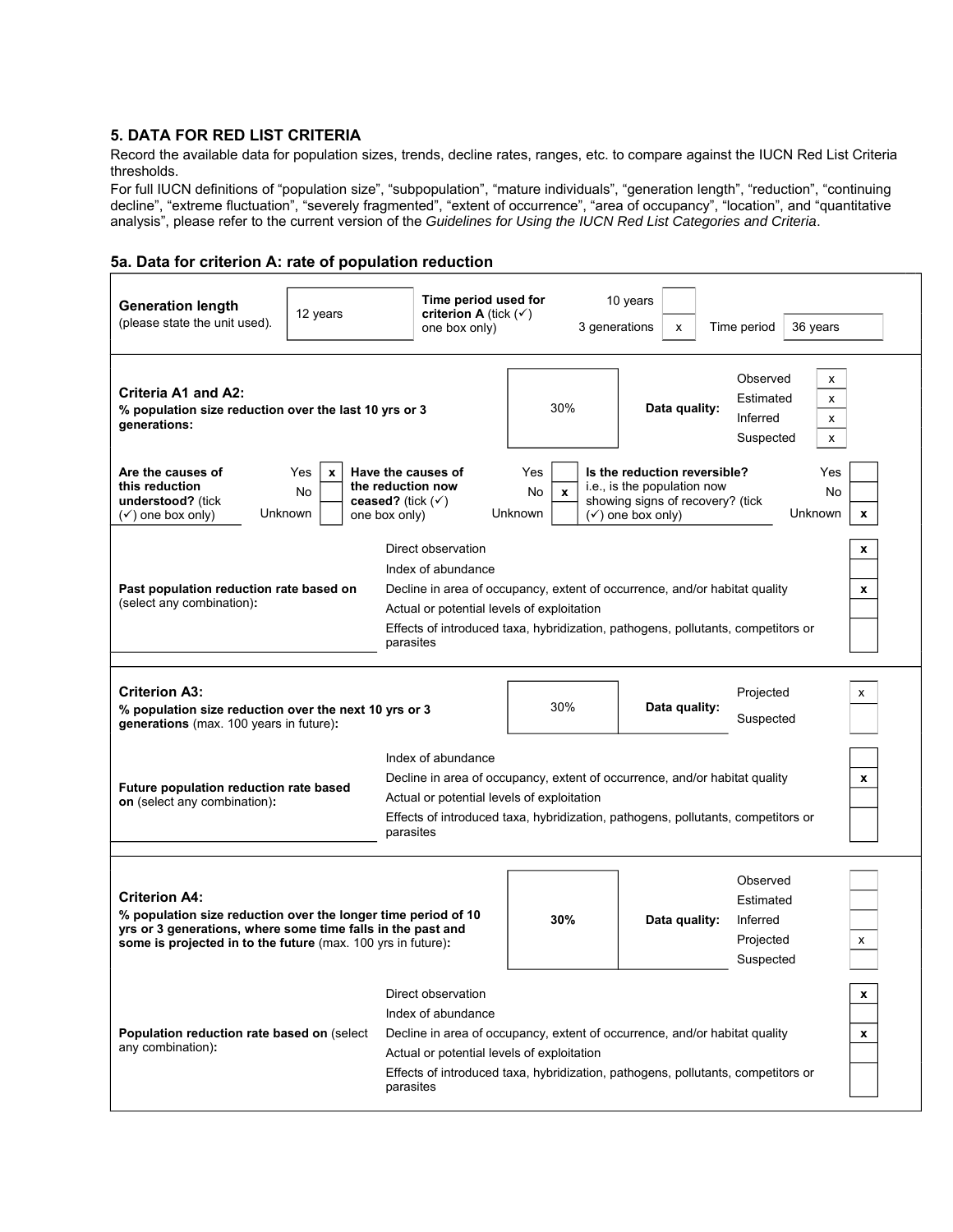# **5. DATA FOR RED LIST CRITERIA**

Record the available data for population sizes, trends, decline rates, ranges, etc. to compare against the IUCN Red List Criteria thresholds.

For full IUCN definitions of "population size", "subpopulation", "mature individuals", "generation length", "reduction", "continuing decline", "extreme fluctuation", "severely fragmented", "extent of occurrence", "area of occupancy", "location", and "quantitative analysis", please refer to the current version of the *Guidelines for Using the IUCN Red List Categories and Criteria*.

#### **5a. Data for criterion A: rate of population reduction**

| <b>Generation length</b><br>(please state the unit used).                                                                                                                                                                                                                                                                                               | 12 years                                                                                                                                                                                                                                        | Time period used for<br>criterion A (tick $(\checkmark)$ )<br>one box only)                                                                                                                                                                                           |                                       | 10 years<br>3 generations<br>x                                                                                                                               | Time period                                                                         | 36 years |        |
|---------------------------------------------------------------------------------------------------------------------------------------------------------------------------------------------------------------------------------------------------------------------------------------------------------------------------------------------------------|-------------------------------------------------------------------------------------------------------------------------------------------------------------------------------------------------------------------------------------------------|-----------------------------------------------------------------------------------------------------------------------------------------------------------------------------------------------------------------------------------------------------------------------|---------------------------------------|--------------------------------------------------------------------------------------------------------------------------------------------------------------|-------------------------------------------------------------------------------------|----------|--------|
| Criteria A1 and A2:<br>% population size reduction over the last 10 yrs or 3<br>generations:                                                                                                                                                                                                                                                            |                                                                                                                                                                                                                                                 |                                                                                                                                                                                                                                                                       | 30%                                   |                                                                                                                                                              | Observed<br>x<br>Estimated<br>x<br>Data quality:<br>Inferred<br>x<br>Suspected<br>х |          |        |
| Are the causes of<br>this reduction<br>understood? (tick<br>$(\checkmark)$ one box only)                                                                                                                                                                                                                                                                | Yes<br>x<br>No<br>Unknown<br>one box only)                                                                                                                                                                                                      | Have the causes of<br>the reduction now<br>ceased? (tick $(\checkmark)$                                                                                                                                                                                               | Yes<br>No.<br>$\mathbf{x}$<br>Unknown | Is the reduction reversible?<br>Yes<br>i.e., is the population now<br>No<br>showing signs of recovery? (tick<br>Unknown<br>$(\checkmark)$ one box only)<br>x |                                                                                     |          |        |
| Direct observation<br>x<br>Index of abundance<br>Past population reduction rate based on<br>Decline in area of occupancy, extent of occurrence, and/or habitat quality<br>x<br>(select any combination):<br>Actual or potential levels of exploitation<br>Effects of introduced taxa, hybridization, pathogens, pollutants, competitors or<br>parasites |                                                                                                                                                                                                                                                 |                                                                                                                                                                                                                                                                       |                                       |                                                                                                                                                              |                                                                                     |          |        |
| <b>Criterion A3:</b><br>% population size reduction over the next 10 yrs or 3<br>generations (max. 100 years in future):                                                                                                                                                                                                                                | 30%                                                                                                                                                                                                                                             | Projected<br>x<br>Data quality:<br>Suspected                                                                                                                                                                                                                          |                                       |                                                                                                                                                              |                                                                                     |          |        |
| Future population reduction rate based<br>on (select any combination):                                                                                                                                                                                                                                                                                  | Index of abundance<br>Decline in area of occupancy, extent of occurrence, and/or habitat quality<br>Actual or potential levels of exploitation<br>Effects of introduced taxa, hybridization, pathogens, pollutants, competitors or<br>parasites |                                                                                                                                                                                                                                                                       |                                       |                                                                                                                                                              |                                                                                     | x        |        |
| <b>Criterion A4:</b><br>% population size reduction over the longer time period of 10<br>yrs or 3 generations, where some time falls in the past and<br>some is projected in to the future (max. 100 yrs in future):                                                                                                                                    |                                                                                                                                                                                                                                                 |                                                                                                                                                                                                                                                                       | 30%                                   | Data quality:                                                                                                                                                | Observed<br>Estimated<br>Inferred<br>Projected<br>Suspected                         |          | х      |
| Population reduction rate based on (select<br>any combination):                                                                                                                                                                                                                                                                                         |                                                                                                                                                                                                                                                 | Direct observation<br>Index of abundance<br>Decline in area of occupancy, extent of occurrence, and/or habitat quality<br>Actual or potential levels of exploitation<br>Effects of introduced taxa, hybridization, pathogens, pollutants, competitors or<br>parasites |                                       |                                                                                                                                                              |                                                                                     |          | x<br>x |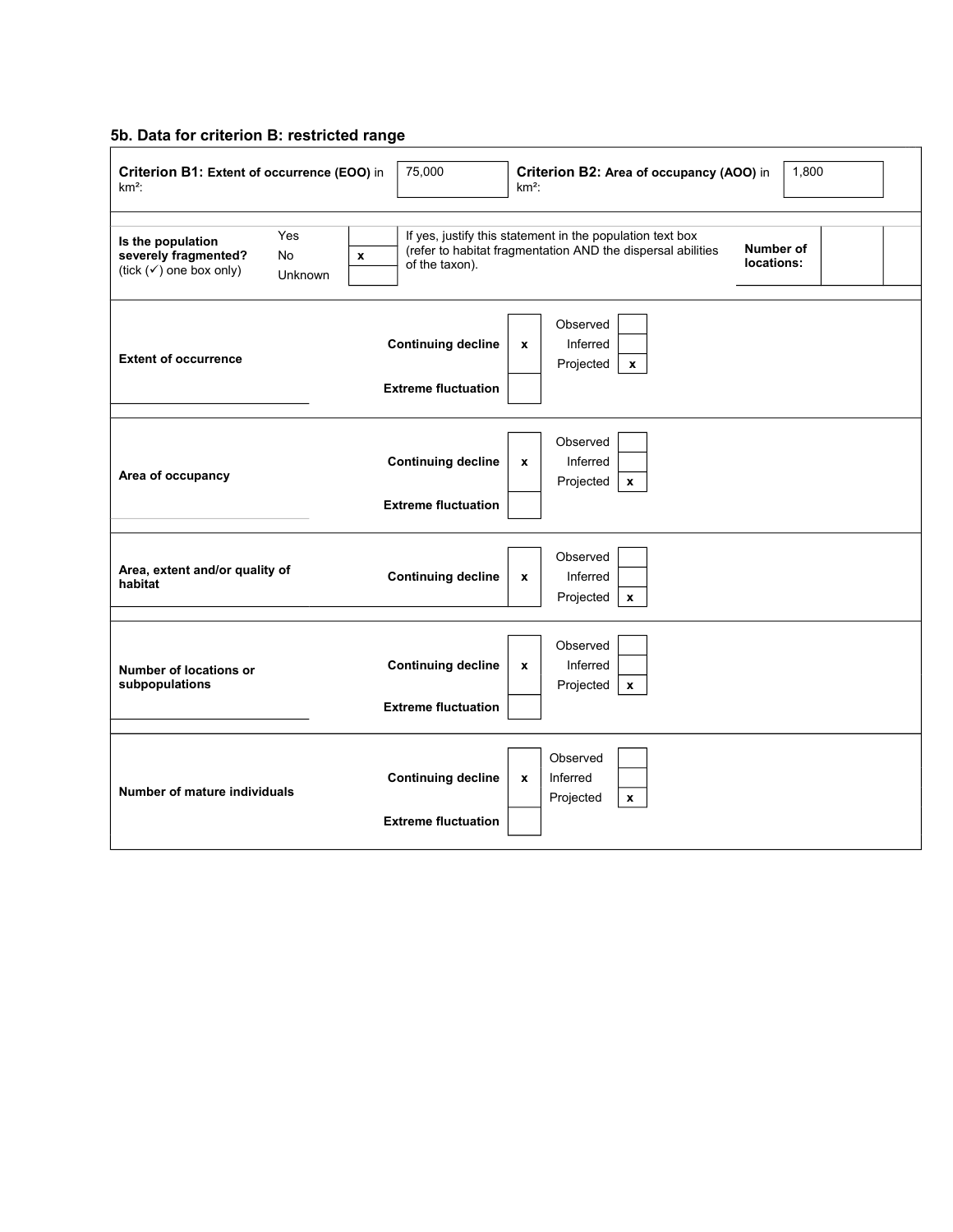#### **5b. Data for criterion B: restricted range**

| Criterion B1: Extent of occurrence (EOO) in<br>$km2$ :                                                  | 75,000                                                                                                                                                                                | 1,800<br>Criterion B2: Area of occupancy (AOO) in<br>$km2$ :            |  |  |  |  |  |
|---------------------------------------------------------------------------------------------------------|---------------------------------------------------------------------------------------------------------------------------------------------------------------------------------------|-------------------------------------------------------------------------|--|--|--|--|--|
| Yes<br>Is the population<br>severely fragmented?<br>No<br>(tick $(\checkmark)$ one box only)<br>Unknown | If yes, justify this statement in the population text box<br>Number of<br>(refer to habitat fragmentation AND the dispersal abilities<br>$\pmb{\chi}$<br>locations:<br>of the taxon). |                                                                         |  |  |  |  |  |
| <b>Extent of occurrence</b>                                                                             | <b>Continuing decline</b><br><b>Extreme fluctuation</b>                                                                                                                               | Observed<br>Inferred<br>X<br>Projected<br>$\mathbf{x}$                  |  |  |  |  |  |
| Area of occupancy                                                                                       | <b>Continuing decline</b><br><b>Extreme fluctuation</b>                                                                                                                               | Observed<br>Inferred<br>x<br>Projected<br>$\mathbf{x}$                  |  |  |  |  |  |
| Area, extent and/or quality of<br>habitat                                                               | <b>Continuing decline</b>                                                                                                                                                             | Observed<br>Inferred<br>$\pmb{\mathsf{x}}$<br>Projected<br>$\mathbf{x}$ |  |  |  |  |  |
| Number of locations or<br>subpopulations                                                                | <b>Continuing decline</b><br><b>Extreme fluctuation</b>                                                                                                                               | Observed<br>Inferred<br>$\pmb{\mathsf{x}}$<br>Projected<br>$\mathbf{x}$ |  |  |  |  |  |
| <b>Number of mature individuals</b>                                                                     | <b>Continuing decline</b><br><b>Extreme fluctuation</b>                                                                                                                               | Observed<br>Inferred<br>$\pmb{\mathsf{x}}$<br>Projected<br>$\mathbf{x}$ |  |  |  |  |  |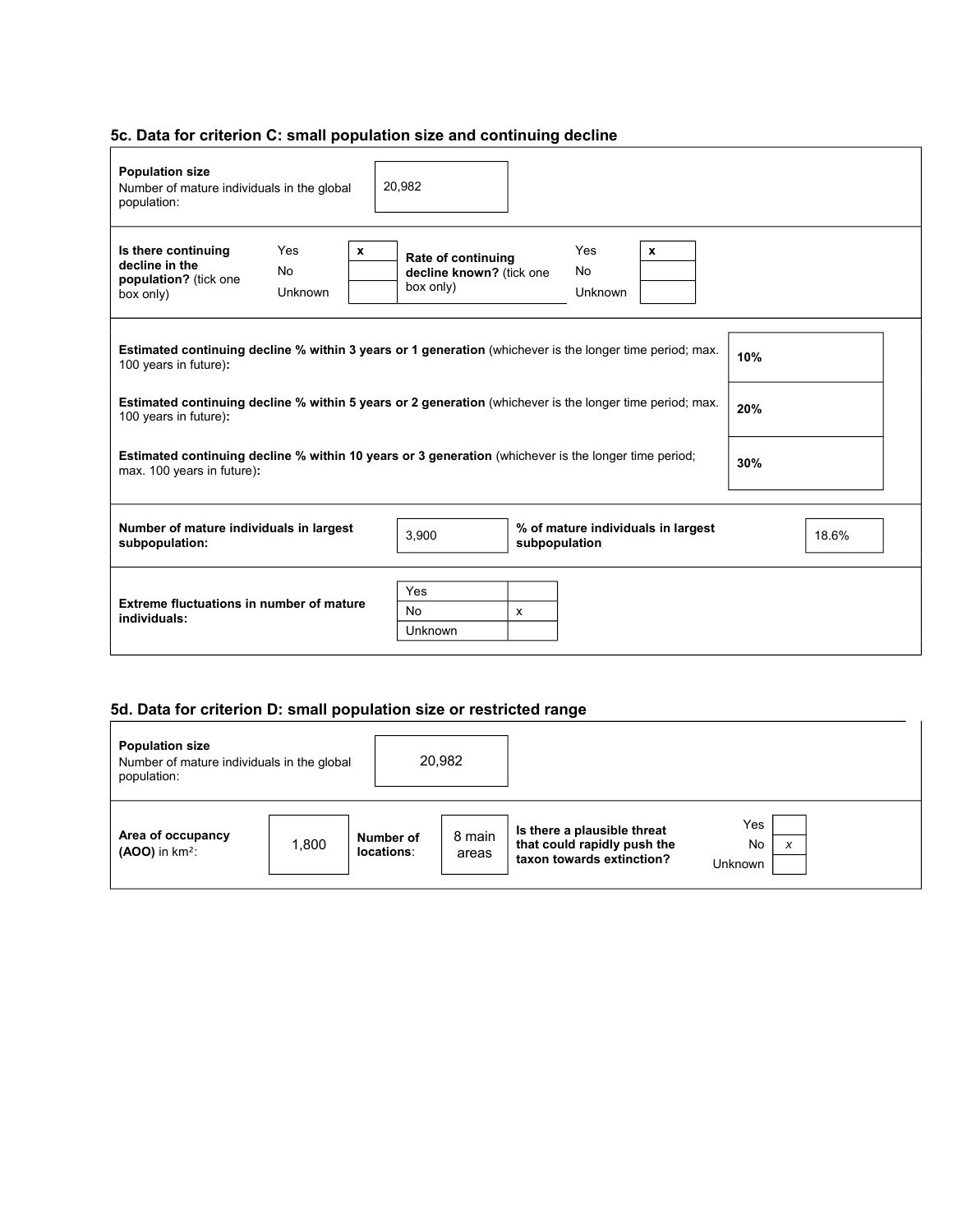# **5c. Data for criterion C: small population size and continuing decline**

| <b>Population size</b><br>Number of mature individuals in the global<br>population:                                                       | 20,982                                                                                                                     |  |  |  |  |  |  |  |  |
|-------------------------------------------------------------------------------------------------------------------------------------------|----------------------------------------------------------------------------------------------------------------------------|--|--|--|--|--|--|--|--|
| Is there continuing<br>Yes<br>decline in the<br>No<br>population? (tick one<br>Unknown<br>box only)                                       | Yes<br>$\mathbf{x}$<br>$\mathbf{x}$<br>Rate of continuing<br><b>No</b><br>decline known? (tick one<br>box only)<br>Unknown |  |  |  |  |  |  |  |  |
| 100 years in future):                                                                                                                     | Estimated continuing decline % within 3 years or 1 generation (whichever is the longer time period; max.<br>10%            |  |  |  |  |  |  |  |  |
| 100 years in future):                                                                                                                     | <b>Estimated continuing decline % within 5 years or 2 generation</b> (whichever is the longer time period; max.<br>20%     |  |  |  |  |  |  |  |  |
| Estimated continuing decline % within 10 years or 3 generation (whichever is the longer time period;<br>30%<br>max. 100 years in future): |                                                                                                                            |  |  |  |  |  |  |  |  |
| Number of mature individuals in largest<br>subpopulation:                                                                                 | % of mature individuals in largest<br>3,900<br>18.6%<br>subpopulation                                                      |  |  |  |  |  |  |  |  |
| Extreme fluctuations in number of mature<br>individuals:                                                                                  | Yes<br>No<br>$\boldsymbol{\mathsf{x}}$<br><b>Unknown</b>                                                                   |  |  |  |  |  |  |  |  |

# **5d. Data for criterion D: small population size or restricted range**

| <b>Population size</b><br>Number of mature individuals in the global<br>population: |       | 20,982                  |                 |                                                                                         |                                  |
|-------------------------------------------------------------------------------------|-------|-------------------------|-----------------|-----------------------------------------------------------------------------------------|----------------------------------|
| Area of occupancy<br>$(AOO)$ in $km^2$ :                                            | 1,800 | Number of<br>locations: | 8 main<br>areas | Is there a plausible threat<br>that could rapidly push the<br>taxon towards extinction? | Yes<br><b>No</b><br>x<br>Unknown |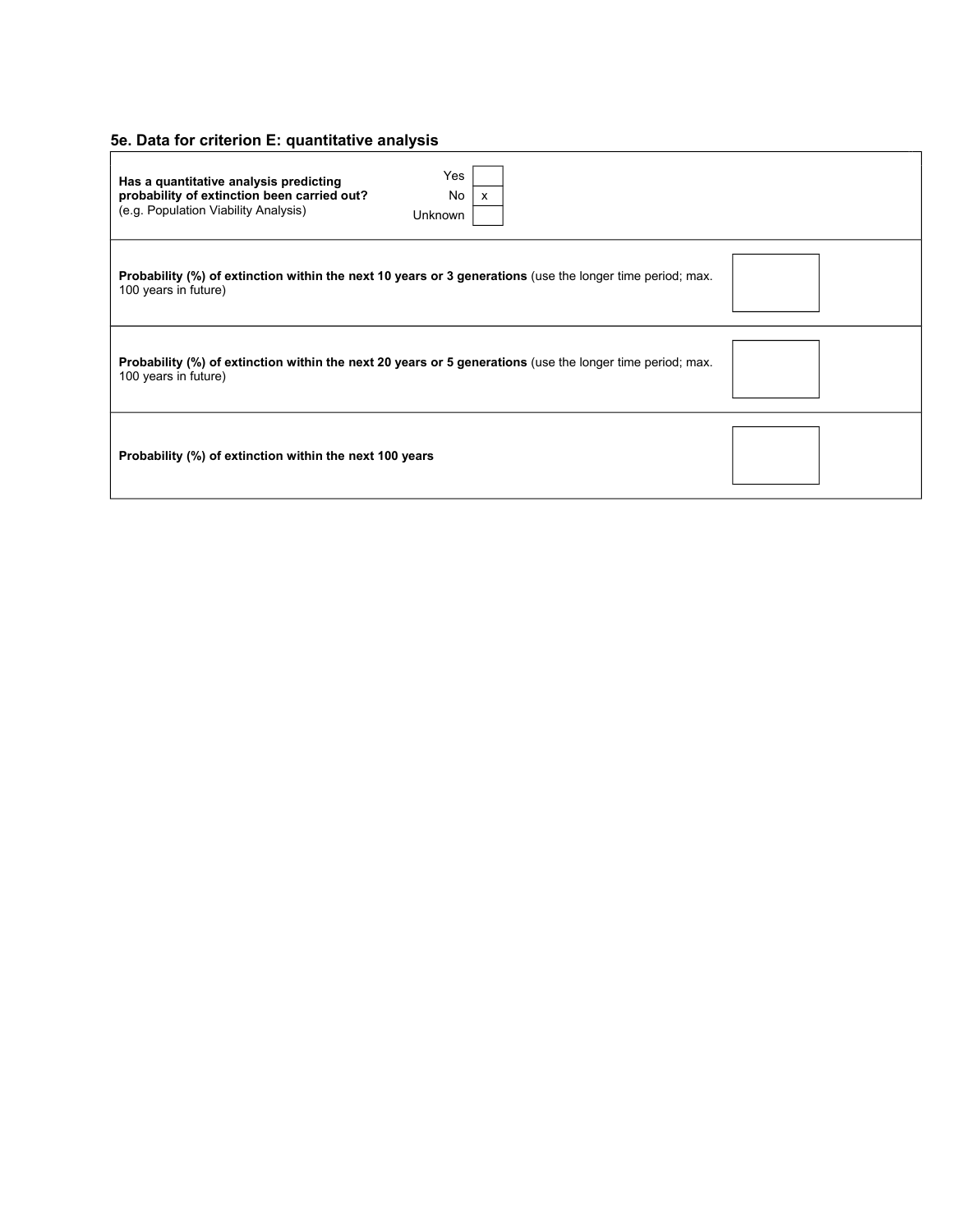# **5e. Data for criterion E: quantitative analysis**

| Yes<br>Has a quantitative analysis predicting<br>probability of extinction been carried out?<br>No<br>X<br>(e.g. Population Viability Analysis)<br>Unknown |  |
|------------------------------------------------------------------------------------------------------------------------------------------------------------|--|
| <b>Probability (%) of extinction within the next 10 years or 3 generations</b> (use the longer time period; max.<br>100 years in future)                   |  |
| Probability (%) of extinction within the next 20 years or 5 generations (use the longer time period; max.<br>100 years in future)                          |  |
| Probability (%) of extinction within the next 100 years                                                                                                    |  |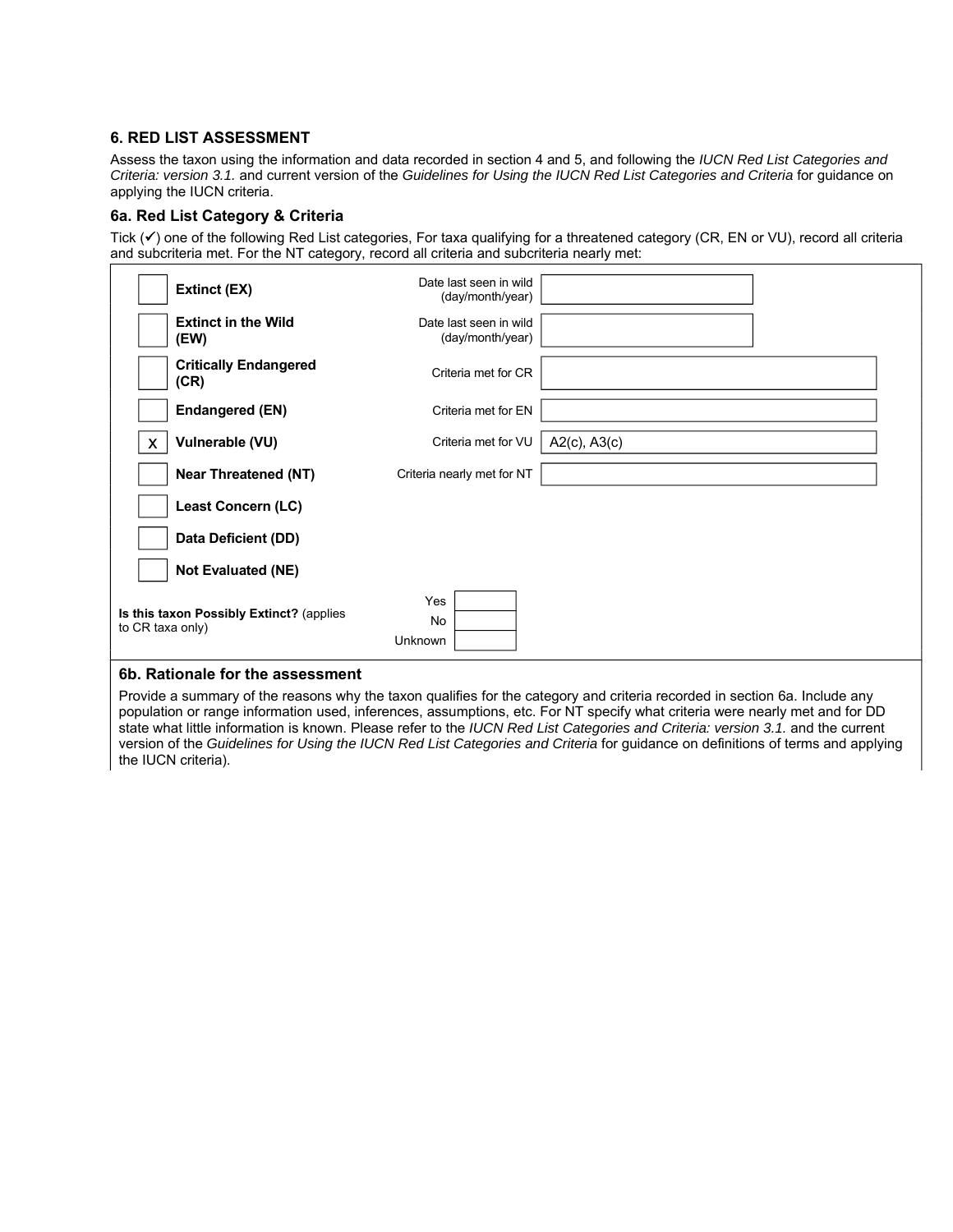# **6. RED LIST ASSESSMENT**

Assess the taxon using the information and data recorded in section 4 and 5, and following the *IUCN Red List Categories and Criteria: version 3.1.* and current version of the *Guidelines for Using the IUCN Red List Categories and Criteria* for guidance on applying the IUCN criteria.

# **6a. Red List Category & Criteria**

Tick  $(v)$  one of the following Red List categories, For taxa qualifying for a threatened category (CR, EN or VU), record all criteria and subcriteria met. For the NT category, record all criteria and subcriteria nearly met:

| Extinct (EX)                                                 | Date last seen in wild<br>(day/month/year) |                   |  |
|--------------------------------------------------------------|--------------------------------------------|-------------------|--|
| <b>Extinct in the Wild</b><br>(EW)                           | Date last seen in wild<br>(day/month/year) |                   |  |
| <b>Critically Endangered</b><br>(CR)                         | Criteria met for CR                        |                   |  |
| <b>Endangered (EN)</b>                                       | Criteria met for EN                        |                   |  |
| Vulnerable (VU)                                              | Criteria met for VU                        | $A2(c)$ , $A3(c)$ |  |
| <b>Near Threatened (NT)</b>                                  | Criteria nearly met for NT                 |                   |  |
| Least Concern (LC)                                           |                                            |                   |  |
| Data Deficient (DD)                                          |                                            |                   |  |
| <b>Not Evaluated (NE)</b>                                    |                                            |                   |  |
| Is this taxon Possibly Extinct? (applies<br>to CR taxa only) | Yes<br>No<br>Unknown                       |                   |  |

# **6b. Rationale for the assessment**

Provide a summary of the reasons why the taxon qualifies for the category and criteria recorded in section 6a. Include any population or range information used, inferences, assumptions, etc. For NT specify what criteria were nearly met and for DD state what little information is known. Please refer to the *IUCN Red List Categories and Criteria: version 3.1.* and the current version of the *Guidelines for Using the IUCN Red List Categories and Criteria* for guidance on definitions of terms and applying the IUCN criteria).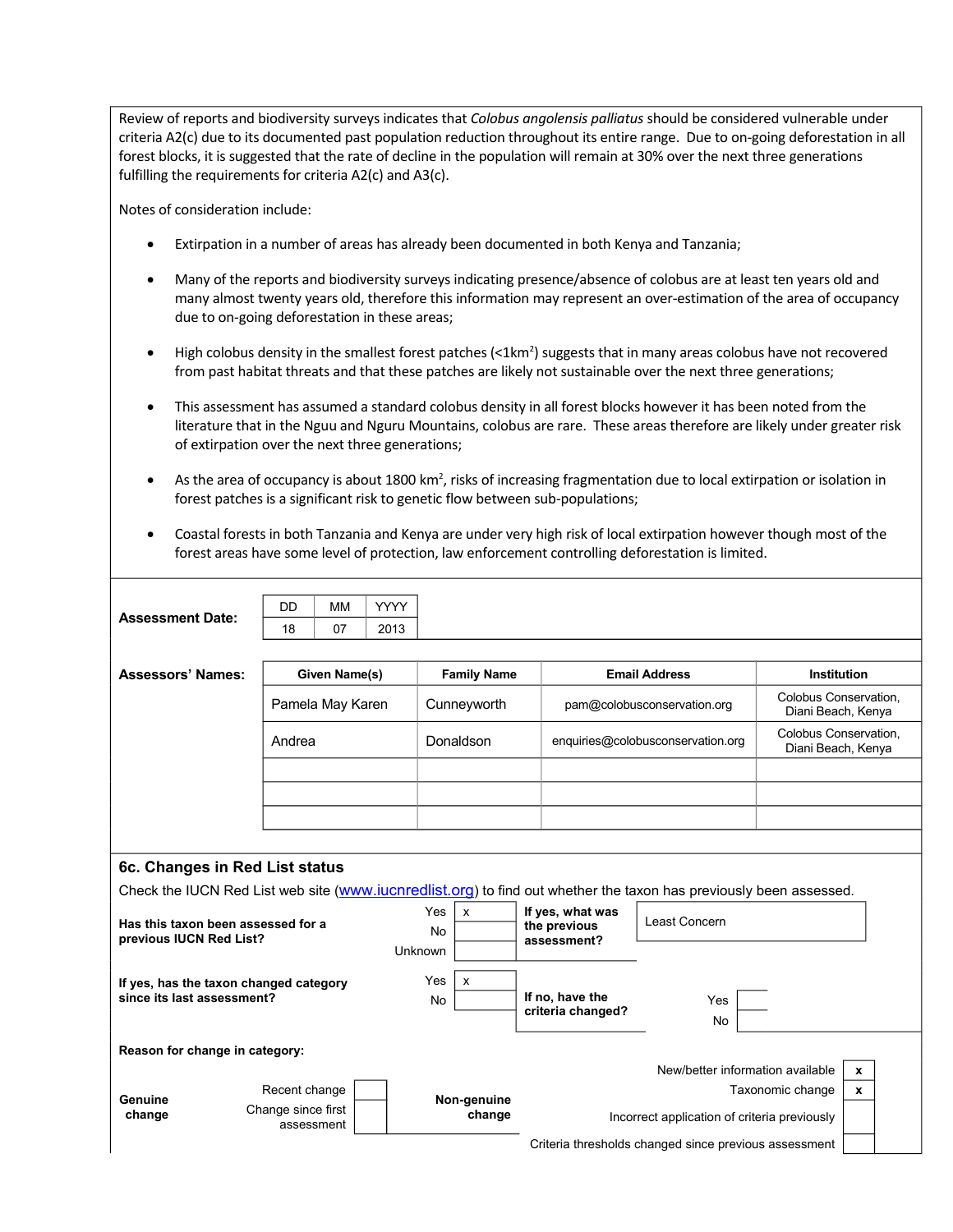Review of reports and biodiversity surveys indicates that *Colobus angolensis palliatus* should be considered vulnerable under criteria A2(c) due to its documented past population reduction throughout its entire range. Due to on‐going deforestation in all forest blocks, it is suggested that the rate of decline in the population will remain at 30% over the next three generations fulfilling the requirements for criteria A2(c) and A3(c).

Notes of consideration include:

- Extirpation in a number of areas has already been documented in both Kenya and Tanzania;
- Many of the reports and biodiversity surveys indicating presence/absence of colobus are at least ten years old and many almost twenty years old, therefore this information may represent an over-estimation of the area of occupancy due to on‐going deforestation in these areas;
- $\bullet$  High colobus density in the smallest forest patches (<1km<sup>2</sup>) suggests that in many areas colobus have not recovered from past habitat threats and that these patches are likely not sustainable over the next three generations;
- This assessment has assumed a standard colobus density in all forest blocks however it has been noted from the literature that in the Nguu and Nguru Mountains, colobus are rare. These areas therefore are likely under greater risk of extirpation over the next three generations;
- As the area of occupancy is about 1800 km<sup>2</sup>, risks of increasing fragmentation due to local extirpation or isolation in forest patches is a significant risk to genetic flow between sub-populations;
- Coastal forests in both Tanzania and Kenya are under very high risk of local extirpation however though most of the forest areas have some level of protection, law enforcement controlling deforestation is limited.

| <b>Assessment Date:</b>                                                                                                                                       | DD                                                | <b>MM</b>     | <b>YYYY</b> |                    |                           |                                                       |                             |                                             |                                             |              |
|---------------------------------------------------------------------------------------------------------------------------------------------------------------|---------------------------------------------------|---------------|-------------|--------------------|---------------------------|-------------------------------------------------------|-----------------------------|---------------------------------------------|---------------------------------------------|--------------|
|                                                                                                                                                               | 18                                                | 07            | 2013        |                    |                           |                                                       |                             |                                             |                                             |              |
|                                                                                                                                                               |                                                   |               |             |                    |                           |                                                       |                             |                                             |                                             |              |
| <b>Assessors' Names:</b>                                                                                                                                      |                                                   | Given Name(s) |             | <b>Family Name</b> |                           |                                                       | <b>Email Address</b>        |                                             | Institution                                 |              |
|                                                                                                                                                               | Pamela May Karen                                  |               |             | Cunneyworth        |                           |                                                       | pam@colobusconservation.org |                                             | Colobus Conservation,<br>Diani Beach, Kenya |              |
|                                                                                                                                                               | Andrea                                            |               | Donaldson   |                    |                           | enquiries@colobusconservation.org                     |                             | Colobus Conservation.<br>Diani Beach, Kenya |                                             |              |
|                                                                                                                                                               |                                                   |               |             |                    |                           |                                                       |                             |                                             |                                             |              |
|                                                                                                                                                               |                                                   |               |             |                    |                           |                                                       |                             |                                             |                                             |              |
|                                                                                                                                                               |                                                   |               |             |                    |                           |                                                       |                             |                                             |                                             |              |
|                                                                                                                                                               |                                                   |               |             |                    |                           |                                                       |                             |                                             |                                             |              |
| 6c. Changes in Red List status                                                                                                                                |                                                   |               |             |                    |                           |                                                       |                             |                                             |                                             |              |
|                                                                                                                                                               |                                                   |               |             |                    |                           |                                                       |                             |                                             |                                             |              |
| Check the IUCN Red List web site (www.iucnredlist.org) to find out whether the taxon has previously been assessed.<br>Yes<br>$\mathsf{x}$<br>If yes, what was |                                                   |               |             |                    |                           |                                                       |                             |                                             |                                             |              |
| Has this taxon been assessed for a<br>previous IUCN Red List?                                                                                                 |                                                   |               |             | <b>No</b>          |                           |                                                       | the previous<br>assessment? | Least Concern                               |                                             |              |
|                                                                                                                                                               |                                                   |               |             | Unknown            |                           |                                                       |                             |                                             |                                             |              |
|                                                                                                                                                               |                                                   |               |             | Yes                | $\boldsymbol{\mathsf{x}}$ |                                                       |                             |                                             |                                             |              |
| If yes, has the taxon changed category<br>since its last assessment?                                                                                          |                                                   |               |             | No                 |                           |                                                       | If no, have the             | Yes                                         |                                             |              |
|                                                                                                                                                               |                                                   |               |             |                    |                           | criteria changed?                                     |                             | No                                          |                                             |              |
|                                                                                                                                                               |                                                   |               |             |                    |                           |                                                       |                             |                                             |                                             |              |
| Reason for change in category:                                                                                                                                |                                                   |               |             |                    |                           |                                                       |                             |                                             |                                             |              |
|                                                                                                                                                               |                                                   |               |             |                    |                           |                                                       |                             | New/better information available            |                                             | $\mathbf{x}$ |
| Genuine                                                                                                                                                       | Recent change<br>Change since first<br>assessment |               | Non-genuine |                    |                           |                                                       |                             | Taxonomic change                            | $\mathbf x$                                 |              |
| change                                                                                                                                                        |                                                   |               |             | change             |                           | Incorrect application of criteria previously          |                             |                                             |                                             |              |
|                                                                                                                                                               |                                                   |               |             |                    |                           | Criteria thresholds changed since previous assessment |                             |                                             |                                             |              |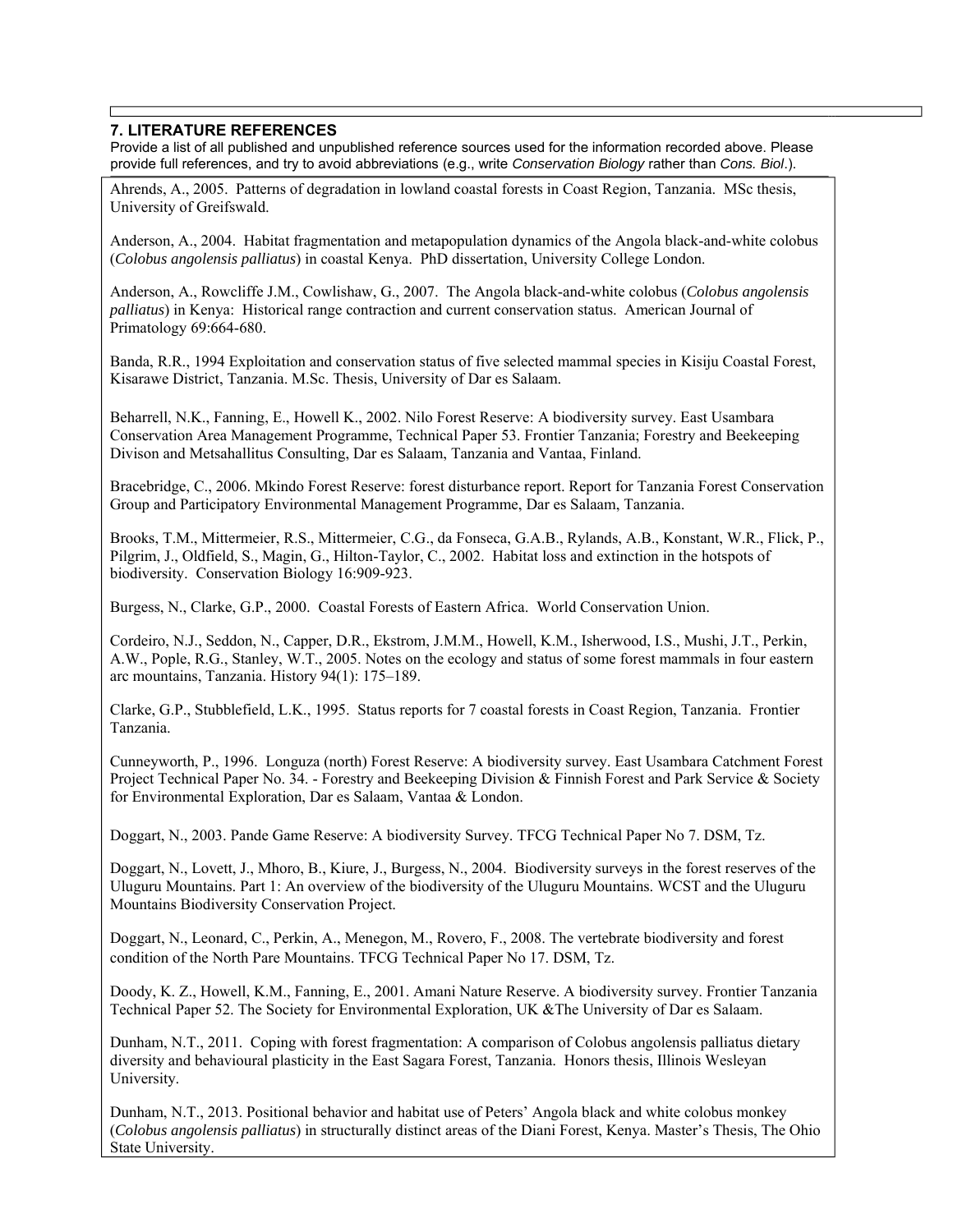# **7. LITERATURE REFERENCES**

Provide a list of all published and unpublished reference sources used for the information recorded above. Please provide full references, and try to avoid abbreviations (e.g., write *Conservation Biology* rather than *Cons. Biol*.).

Ahrends, A., 2005. Patterns of degradation in lowland coastal forests in Coast Region, Tanzania. MSc thesis, University of Greifswald.

Anderson, A., 2004. Habitat fragmentation and metapopulation dynamics of the Angola black-and-white colobus (*Colobus angolensis palliatus*) in coastal Kenya. PhD dissertation, University College London.

Anderson, A., Rowcliffe J.M., Cowlishaw, G., 2007. The Angola black-and-white colobus (*Colobus angolensis palliatus*) in Kenya: Historical range contraction and current conservation status. American Journal of Primatology 69:664-680.

Banda, R.R., 1994 Exploitation and conservation status of five selected mammal species in Kisiju Coastal Forest, Kisarawe District, Tanzania. M.Sc. Thesis, University of Dar es Salaam.

Beharrell, N.K., Fanning, E., Howell K., 2002. Nilo Forest Reserve: A biodiversity survey. East Usambara Conservation Area Management Programme, Technical Paper 53. Frontier Tanzania; Forestry and Beekeeping Divison and Metsahallitus Consulting, Dar es Salaam, Tanzania and Vantaa, Finland.

Bracebridge, C., 2006. Mkindo Forest Reserve: forest disturbance report. Report for Tanzania Forest Conservation Group and Participatory Environmental Management Programme, Dar es Salaam, Tanzania.

Brooks, T.M., Mittermeier, R.S., Mittermeier, C.G., da Fonseca, G.A.B., Rylands, A.B., Konstant, W.R., Flick, P., Pilgrim, J., Oldfield, S., Magin, G., Hilton-Taylor, C., 2002. Habitat loss and extinction in the hotspots of biodiversity. Conservation Biology 16:909-923.

Burgess, N., Clarke, G.P., 2000. Coastal Forests of Eastern Africa. World Conservation Union.

Cordeiro, N.J., Seddon, N., Capper, D.R., Ekstrom, J.M.M., Howell, K.M., Isherwood, I.S., Mushi, J.T., Perkin, A.W., Pople, R.G., Stanley, W.T., 2005. Notes on the ecology and status of some forest mammals in four eastern arc mountains, Tanzania. History 94(1): 175–189.

Clarke, G.P., Stubblefield, L.K., 1995. Status reports for 7 coastal forests in Coast Region, Tanzania. Frontier Tanzania.

Cunneyworth, P., 1996. Longuza (north) Forest Reserve: A biodiversity survey. East Usambara Catchment Forest Project Technical Paper No. 34. - Forestry and Beekeeping Division & Finnish Forest and Park Service & Society for Environmental Exploration, Dar es Salaam, Vantaa & London.

Doggart, N., 2003. Pande Game Reserve: A biodiversity Survey. TFCG Technical Paper No 7. DSM, Tz.

Doggart, N., Lovett, J., Mhoro, B., Kiure, J., Burgess, N., 2004. Biodiversity surveys in the forest reserves of the Uluguru Mountains. Part 1: An overview of the biodiversity of the Uluguru Mountains. WCST and the Uluguru Mountains Biodiversity Conservation Project.

Doggart, N., Leonard, C., Perkin, A., Menegon, M., Rovero, F., 2008. The vertebrate biodiversity and forest condition of the North Pare Mountains. TFCG Technical Paper No 17. DSM, Tz.

Doody, K. Z., Howell, K.M., Fanning, E., 2001. Amani Nature Reserve. A biodiversity survey. Frontier Tanzania Technical Paper 52. The Society for Environmental Exploration, UK &The University of Dar es Salaam.

Dunham, N.T., 2011. Coping with forest fragmentation: A comparison of Colobus angolensis palliatus dietary diversity and behavioural plasticity in the East Sagara Forest, Tanzania. Honors thesis, Illinois Wesleyan University.

Dunham, N.T., 2013. Positional behavior and habitat use of Peters' Angola black and white colobus monkey (*Colobus angolensis palliatus*) in structurally distinct areas of the Diani Forest, Kenya. Master's Thesis, The Ohio State University.